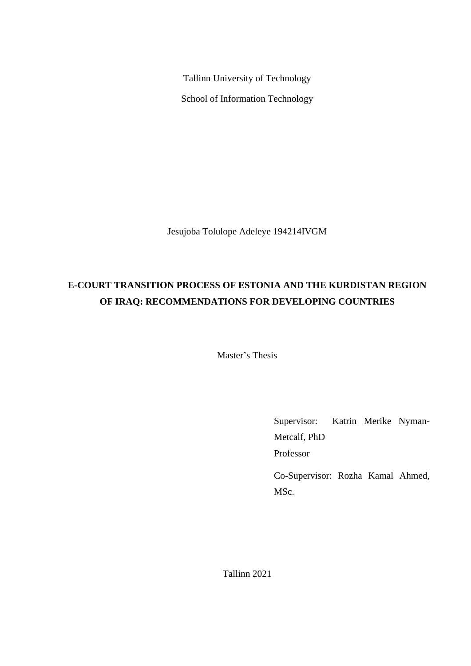Tallinn University of Technology School of Information Technology

Jesujoba Tolulope Adeleye 194214IVGM

# **E-COURT TRANSITION PROCESS OF ESTONIA AND THE KURDISTAN REGION OF IRAQ: RECOMMENDATIONS FOR DEVELOPING COUNTRIES**

Master's Thesis

Supervisor: Katrin Merike Nyman-Metcalf, PhD Professor

Co-Supervisor: Rozha Kamal Ahmed, MSc.

Tallinn 2021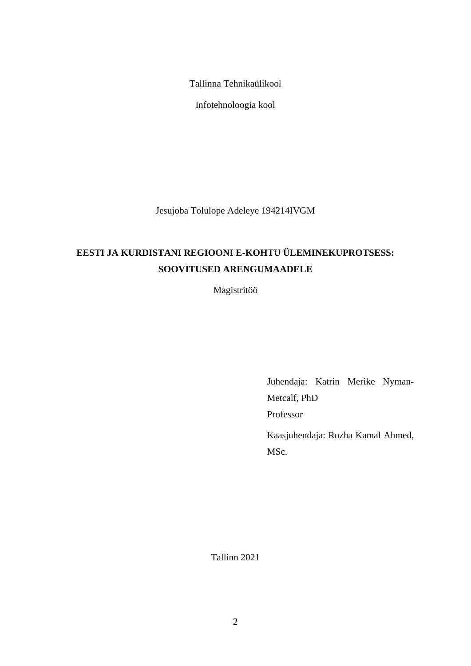Tallinna Tehnikaülikool

Infotehnoloogia kool

Jesujoba Tolulope Adeleye 194214IVGM

# **EESTI JA KURDISTANI REGIOONI E-KOHTU ÜLEMINEKUPROTSESS: SOOVITUSED ARENGUMAADELE**

Magistritöö

Juhendaja: Katrin Merike Nyman-Metcalf, PhD Professor

Kaasjuhendaja: Rozha Kamal Ahmed, MSc.

Tallinn 2021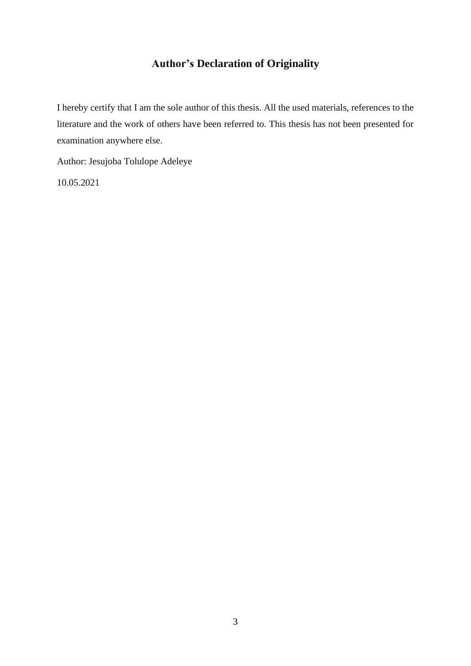## **Author's Declaration of Originality**

I hereby certify that I am the sole author of this thesis. All the used materials, references to the literature and the work of others have been referred to. This thesis has not been presented for examination anywhere else.

Author: Jesujoba Tolulope Adeleye

10.05.2021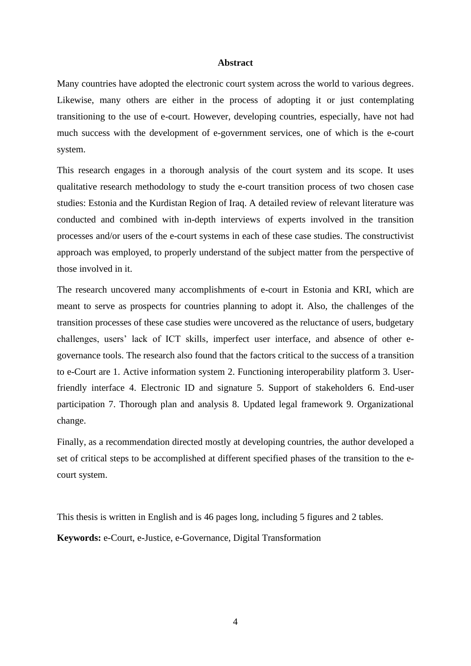### **Abstract**

<span id="page-3-0"></span>Many countries have adopted the electronic court system across the world to various degrees. Likewise, many others are either in the process of adopting it or just contemplating transitioning to the use of e-court. However, developing countries, especially, have not had much success with the development of e-government services, one of which is the e-court system.

This research engages in a thorough analysis of the court system and its scope. It uses qualitative research methodology to study the e-court transition process of two chosen case studies: Estonia and the Kurdistan Region of Iraq. A detailed review of relevant literature was conducted and combined with in-depth interviews of experts involved in the transition processes and/or users of the e-court systems in each of these case studies. The constructivist approach was employed, to properly understand of the subject matter from the perspective of those involved in it.

The research uncovered many accomplishments of e-court in Estonia and KRI, which are meant to serve as prospects for countries planning to adopt it. Also, the challenges of the transition processes of these case studies were uncovered as the reluctance of users, budgetary challenges, users' lack of ICT skills, imperfect user interface, and absence of other egovernance tools. The research also found that the factors critical to the success of a transition to e-Court are 1. Active information system 2. Functioning interoperability platform 3. Userfriendly interface 4. Electronic ID and signature 5. Support of stakeholders 6. End-user participation 7. Thorough plan and analysis 8. Updated legal framework 9. Organizational change.

Finally, as a recommendation directed mostly at developing countries, the author developed a set of critical steps to be accomplished at different specified phases of the transition to the ecourt system.

This thesis is written in English and is 46 pages long, including 5 figures and 2 tables.

**Keywords:** e-Court, e-Justice, e-Governance, Digital Transformation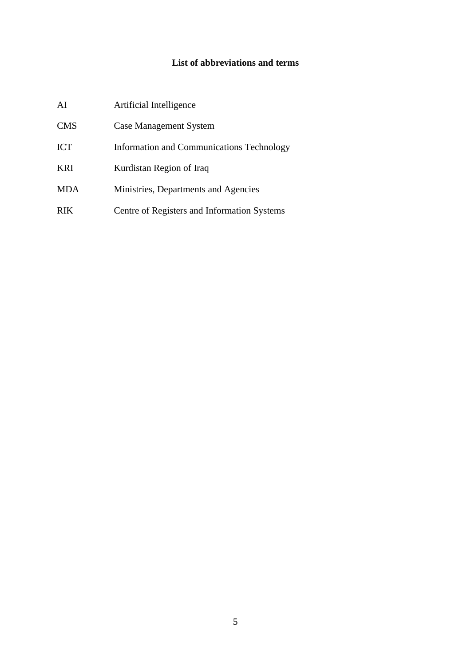## **List of abbreviations and terms**

<span id="page-4-0"></span>

| AI         | Artificial Intelligence                     |
|------------|---------------------------------------------|
| <b>CMS</b> | <b>Case Management System</b>               |
| <b>ICT</b> | Information and Communications Technology   |
| <b>KRI</b> | Kurdistan Region of Iraq                    |
| <b>MDA</b> | Ministries, Departments and Agencies        |
| <b>RIK</b> | Centre of Registers and Information Systems |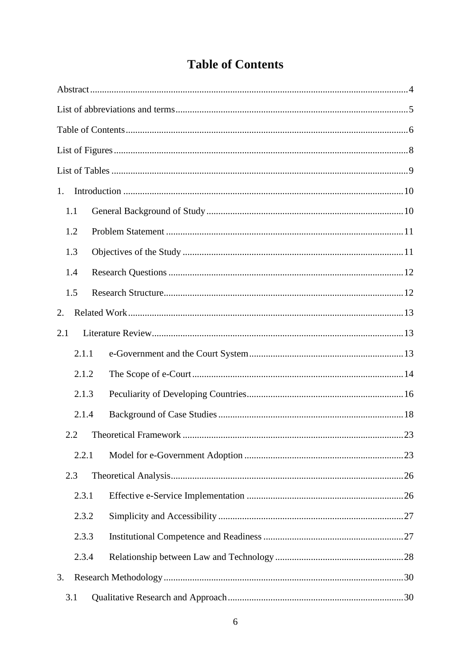# **Table of Contents**

<span id="page-5-0"></span>

| 1.  |       |  |
|-----|-------|--|
| 1.1 |       |  |
| 1.2 |       |  |
| 1.3 |       |  |
| 1.4 |       |  |
| 1.5 |       |  |
| 2.  |       |  |
| 2.1 |       |  |
|     | 2.1.1 |  |
|     | 2.1.2 |  |
|     | 2.1.3 |  |
|     | 2.1.4 |  |
|     | 2.2   |  |
|     | 2.2.1 |  |
| 2.3 |       |  |
|     | 2.3.1 |  |
|     | 2.3.2 |  |
|     | 2.3.3 |  |
|     | 2.3.4 |  |
| 3.  |       |  |
| 3.1 |       |  |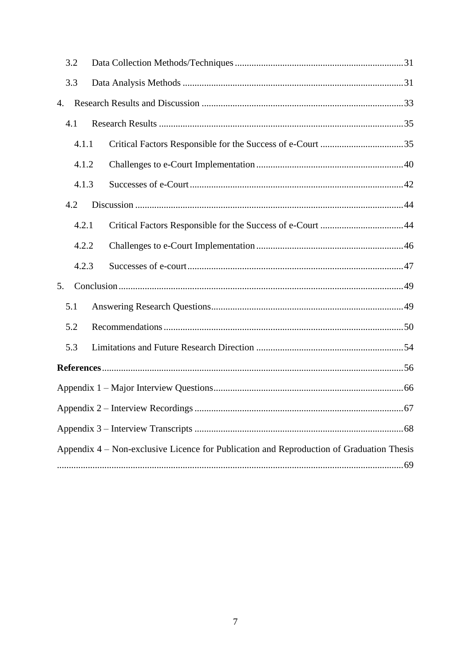| 3.2 |       |                                                                                          |
|-----|-------|------------------------------------------------------------------------------------------|
| 3.3 |       |                                                                                          |
| 4.  |       |                                                                                          |
| 4.1 |       |                                                                                          |
|     | 4.1.1 |                                                                                          |
|     | 4.1.2 |                                                                                          |
|     | 4.1.3 |                                                                                          |
| 4.2 |       |                                                                                          |
|     | 4.2.1 |                                                                                          |
|     | 4.2.2 |                                                                                          |
|     | 4.2.3 |                                                                                          |
| 5.  |       |                                                                                          |
| 5.1 |       |                                                                                          |
| 5.2 |       |                                                                                          |
| 5.3 |       |                                                                                          |
|     |       |                                                                                          |
|     |       |                                                                                          |
|     |       |                                                                                          |
|     |       |                                                                                          |
|     |       | Appendix 4 – Non-exclusive Licence for Publication and Reproduction of Graduation Thesis |
|     |       |                                                                                          |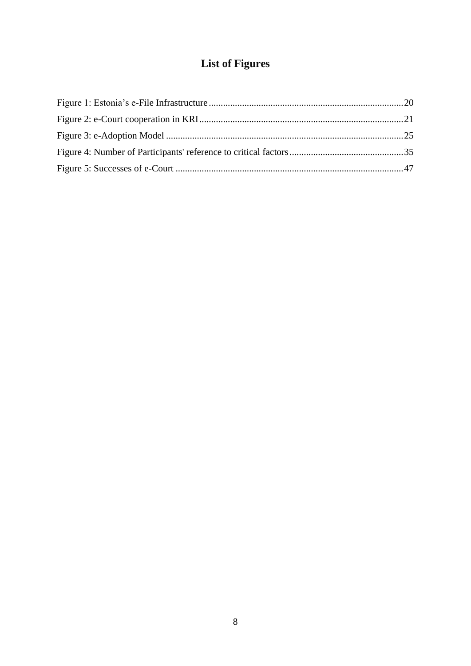# **List of Figures**

<span id="page-7-0"></span>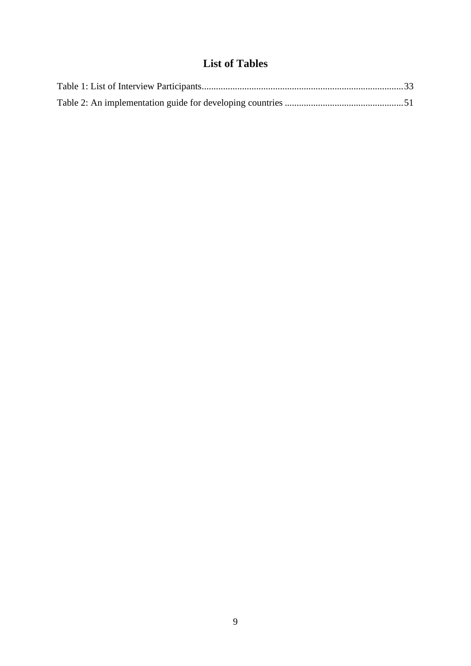## **List of Tables**

<span id="page-8-0"></span>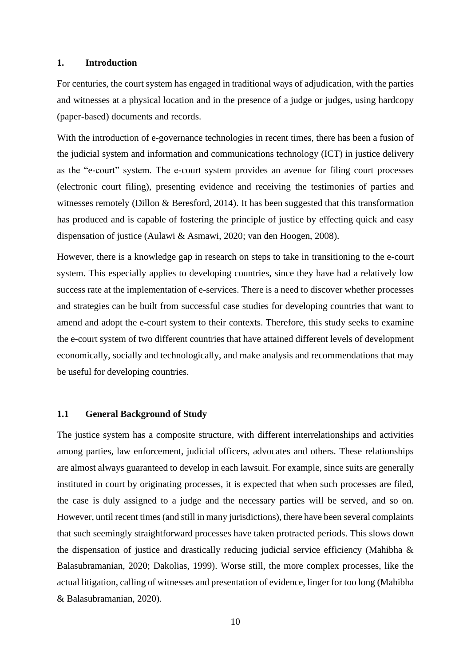### <span id="page-9-0"></span>**1. Introduction**

For centuries, the court system has engaged in traditional ways of adjudication, with the parties and witnesses at a physical location and in the presence of a judge or judges, using hardcopy (paper-based) documents and records.

With the introduction of e-governance technologies in recent times, there has been a fusion of the judicial system and information and communications technology (ICT) in justice delivery as the "e-court" system. The e-court system provides an avenue for filing court processes (electronic court filing), presenting evidence and receiving the testimonies of parties and witnesses remotely (Dillon & Beresford, 2014). It has been suggested that this transformation has produced and is capable of fostering the principle of justice by effecting quick and easy dispensation of justice (Aulawi & Asmawi, 2020; van den Hoogen, 2008).

However, there is a knowledge gap in research on steps to take in transitioning to the e-court system. This especially applies to developing countries, since they have had a relatively low success rate at the implementation of e-services. There is a need to discover whether processes and strategies can be built from successful case studies for developing countries that want to amend and adopt the e-court system to their contexts. Therefore, this study seeks to examine the e-court system of two different countries that have attained different levels of development economically, socially and technologically, and make analysis and recommendations that may be useful for developing countries.

### <span id="page-9-1"></span>**1.1 General Background of Study**

The justice system has a composite structure, with different interrelationships and activities among parties, law enforcement, judicial officers, advocates and others. These relationships are almost always guaranteed to develop in each lawsuit. For example, since suits are generally instituted in court by originating processes, it is expected that when such processes are filed, the case is duly assigned to a judge and the necessary parties will be served, and so on. However, until recent times (and still in many jurisdictions), there have been several complaints that such seemingly straightforward processes have taken protracted periods. This slows down the dispensation of justice and drastically reducing judicial service efficiency (Mahibha & Balasubramanian, 2020; Dakolias, 1999). Worse still, the more complex processes, like the actual litigation, calling of witnesses and presentation of evidence, linger for too long (Mahibha & Balasubramanian, 2020).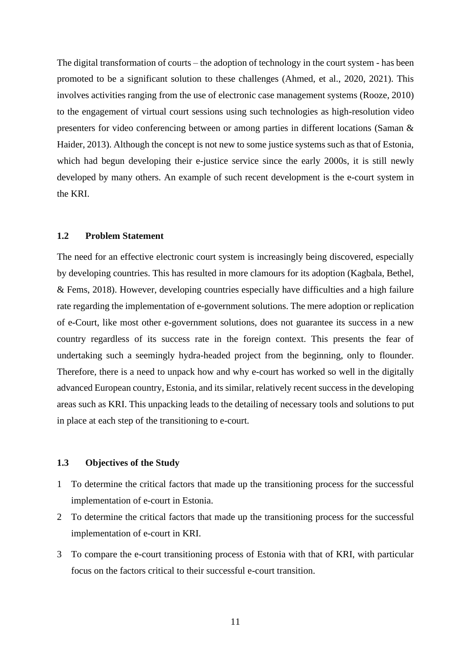The digital transformation of courts – the adoption of technology in the court system - has been promoted to be a significant solution to these challenges (Ahmed, et al., 2020, 2021). This involves activities ranging from the use of electronic case management systems (Rooze, 2010) to the engagement of virtual court sessions using such technologies as high-resolution video presenters for video conferencing between or among parties in different locations (Saman & Haider, 2013). Although the concept is not new to some justice systems such as that of Estonia, which had begun developing their e-justice service since the early 2000s, it is still newly developed by many others. An example of such recent development is the e-court system in the KRI.

## <span id="page-10-0"></span>**1.2 Problem Statement**

The need for an effective electronic court system is increasingly being discovered, especially by developing countries. This has resulted in more clamours for its adoption (Kagbala, Bethel, & Fems, 2018). However, developing countries especially have difficulties and a high failure rate regarding the implementation of e-government solutions. The mere adoption or replication of e-Court, like most other e-government solutions, does not guarantee its success in a new country regardless of its success rate in the foreign context. This presents the fear of undertaking such a seemingly hydra-headed project from the beginning, only to flounder. Therefore, there is a need to unpack how and why e-court has worked so well in the digitally advanced European country, Estonia, and its similar, relatively recent success in the developing areas such as KRI. This unpacking leads to the detailing of necessary tools and solutions to put in place at each step of the transitioning to e-court.

## <span id="page-10-1"></span>**1.3 Objectives of the Study**

- 1 To determine the critical factors that made up the transitioning process for the successful implementation of e-court in Estonia.
- 2 To determine the critical factors that made up the transitioning process for the successful implementation of e-court in KRI.
- 3 To compare the e-court transitioning process of Estonia with that of KRI, with particular focus on the factors critical to their successful e-court transition.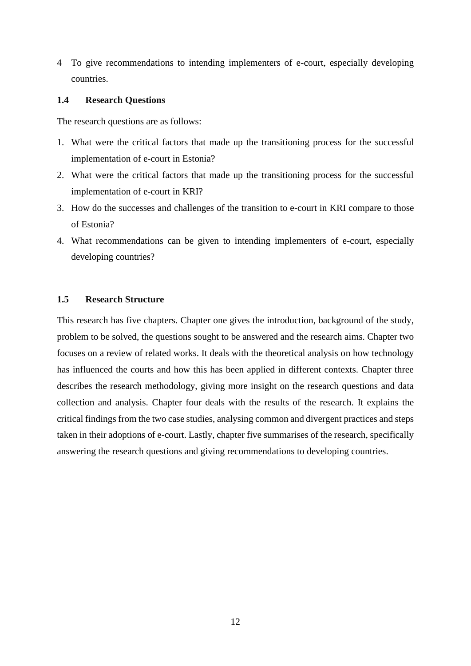4 To give recommendations to intending implementers of e-court, especially developing countries.

## <span id="page-11-0"></span>**1.4 Research Questions**

The research questions are as follows:

- 1. What were the critical factors that made up the transitioning process for the successful implementation of e-court in Estonia?
- 2. What were the critical factors that made up the transitioning process for the successful implementation of e-court in KRI?
- 3. How do the successes and challenges of the transition to e-court in KRI compare to those of Estonia?
- 4. What recommendations can be given to intending implementers of e-court, especially developing countries?

## <span id="page-11-1"></span>**1.5 Research Structure**

This research has five chapters. Chapter one gives the introduction, background of the study, problem to be solved, the questions sought to be answered and the research aims. Chapter two focuses on a review of related works. It deals with the theoretical analysis on how technology has influenced the courts and how this has been applied in different contexts. Chapter three describes the research methodology, giving more insight on the research questions and data collection and analysis. Chapter four deals with the results of the research. It explains the critical findings from the two case studies, analysing common and divergent practices and steps taken in their adoptions of e-court. Lastly, chapter five summarises of the research, specifically answering the research questions and giving recommendations to developing countries.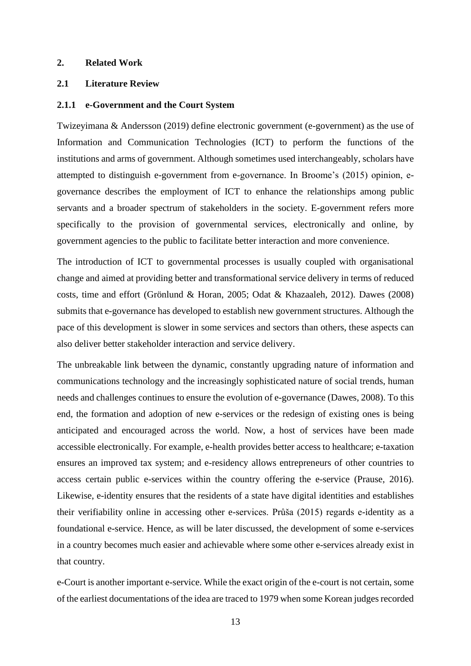### <span id="page-12-0"></span>**2. Related Work**

## <span id="page-12-1"></span>**2.1 Literature Review**

#### <span id="page-12-2"></span>**2.1.1 e-Government and the Court System**

Twizeyimana & Andersson (2019) define electronic government (e-government) as the use of Information and Communication Technologies (ICT) to perform the functions of the institutions and arms of government. Although sometimes used interchangeably, scholars have attempted to distinguish e-government from e-governance. In Broome's (2015) opinion, egovernance describes the employment of ICT to enhance the relationships among public servants and a broader spectrum of stakeholders in the society. E-government refers more specifically to the provision of governmental services, electronically and online, by government agencies to the public to facilitate better interaction and more convenience.

The introduction of ICT to governmental processes is usually coupled with organisational change and aimed at providing better and transformational service delivery in terms of reduced costs, time and effort (Grönlund & Horan, 2005; Odat & Khazaaleh, 2012). Dawes (2008) submits that e-governance has developed to establish new government structures. Although the pace of this development is slower in some services and sectors than others, these aspects can also deliver better stakeholder interaction and service delivery.

The unbreakable link between the dynamic, constantly upgrading nature of information and communications technology and the increasingly sophisticated nature of social trends, human needs and challenges continues to ensure the evolution of e-governance (Dawes, 2008). To this end, the formation and adoption of new e-services or the redesign of existing ones is being anticipated and encouraged across the world. Now, a host of services have been made accessible electronically. For example, e-health provides better access to healthcare; e-taxation ensures an improved tax system; and e-residency allows entrepreneurs of other countries to access certain public e-services within the country offering the e-service (Prause, 2016). Likewise, e-identity ensures that the residents of a state have digital identities and establishes their verifiability online in accessing other e-services. Průša (2015) regards e-identity as a foundational e-service. Hence, as will be later discussed, the development of some e-services in a country becomes much easier and achievable where some other e-services already exist in that country.

e-Court is another important e-service. While the exact origin of the e-court is not certain, some of the earliest documentations of the idea are traced to 1979 when some Korean judges recorded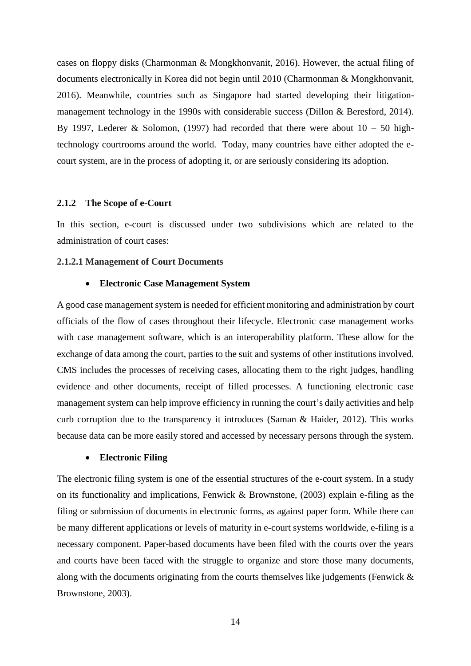cases on floppy disks (Charmonman & Mongkhonvanit, 2016). However, the actual filing of documents electronically in Korea did not begin until 2010 (Charmonman & Mongkhonvanit, 2016). Meanwhile, countries such as Singapore had started developing their litigationmanagement technology in the 1990s with considerable success (Dillon & Beresford, 2014). By 1997, Lederer & Solomon, (1997) had recorded that there were about  $10 - 50$  hightechnology courtrooms around the world. Today, many countries have either adopted the ecourt system, are in the process of adopting it, or are seriously considering its adoption.

### <span id="page-13-0"></span>**2.1.2 The Scope of e-Court**

In this section, e-court is discussed under two subdivisions which are related to the administration of court cases:

#### **2.1.2.1 Management of Court Documents**

## • **Electronic Case Management System**

A good case management system is needed for efficient monitoring and administration by court officials of the flow of cases throughout their lifecycle. Electronic case management works with case management software, which is an interoperability platform. These allow for the exchange of data among the court, parties to the suit and systems of other institutions involved. CMS includes the processes of receiving cases, allocating them to the right judges, handling evidence and other documents, receipt of filled processes. A functioning electronic case management system can help improve efficiency in running the court's daily activities and help curb corruption due to the transparency it introduces (Saman & Haider, 2012). This works because data can be more easily stored and accessed by necessary persons through the system.

### • **Electronic Filing**

The electronic filing system is one of the essential structures of the e-court system. In a study on its functionality and implications, Fenwick & Brownstone, (2003) explain e-filing as the filing or submission of documents in electronic forms, as against paper form. While there can be many different applications or levels of maturity in e-court systems worldwide, e-filing is a necessary component. Paper-based documents have been filed with the courts over the years and courts have been faced with the struggle to organize and store those many documents, along with the documents originating from the courts themselves like judgements (Fenwick & Brownstone, 2003).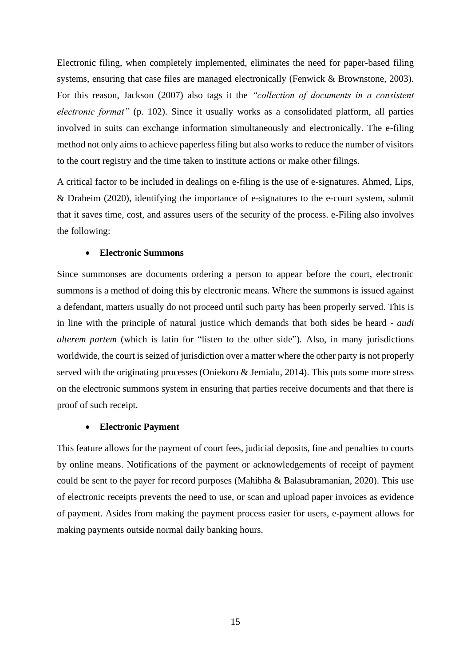Electronic filing, when completely implemented, eliminates the need for paper-based filing systems, ensuring that case files are managed electronically (Fenwick & Brownstone, 2003). For this reason, Jackson (2007) also tags it the *"collection of documents in a consistent electronic format"* (p. 102). Since it usually works as a consolidated platform, all parties involved in suits can exchange information simultaneously and electronically. The e-filing method not only aims to achieve paperless filing but also works to reduce the number of visitors to the court registry and the time taken to institute actions or make other filings.

A critical factor to be included in dealings on e-filing is the use of e-signatures. Ahmed, Lips, & Draheim (2020), identifying the importance of e-signatures to the e-court system, submit that it saves time, cost, and assures users of the security of the process. e-Filing also involves the following:

#### • **Electronic Summons**

Since summonses are documents ordering a person to appear before the court, electronic summons is a method of doing this by electronic means. Where the summons is issued against a defendant, matters usually do not proceed until such party has been properly served. This is in line with the principle of natural justice which demands that both sides be heard - *audi alterem partem* (which is latin for "listen to the other side")*.* Also, in many jurisdictions worldwide, the court is seized of jurisdiction over a matter where the other party is not properly served with the originating processes (Oniekoro & Jemialu, 2014). This puts some more stress on the electronic summons system in ensuring that parties receive documents and that there is proof of such receipt.

#### • **Electronic Payment**

This feature allows for the payment of court fees, judicial deposits, fine and penalties to courts by online means. Notifications of the payment or acknowledgements of receipt of payment could be sent to the payer for record purposes (Mahibha & Balasubramanian, 2020). This use of electronic receipts prevents the need to use, or scan and upload paper invoices as evidence of payment. Asides from making the payment process easier for users, e-payment allows for making payments outside normal daily banking hours.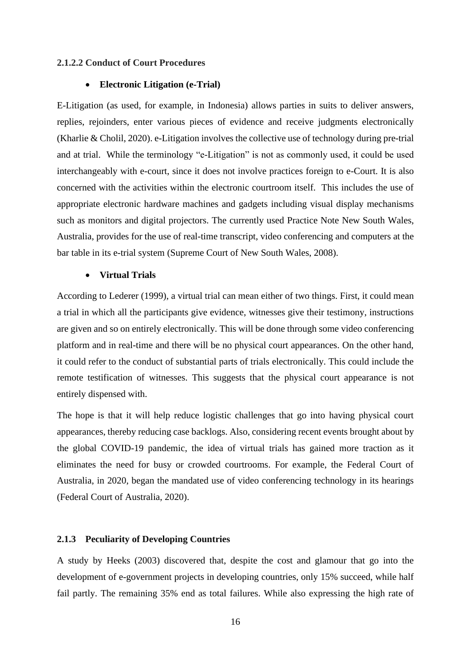#### **2.1.2.2 Conduct of Court Procedures**

#### • **Electronic Litigation (e-Trial)**

E-Litigation (as used, for example, in Indonesia) allows parties in suits to deliver answers, replies, rejoinders, enter various pieces of evidence and receive judgments electronically (Kharlie & Cholil, 2020). e-Litigation involves the collective use of technology during pre-trial and at trial. While the terminology "e-Litigation" is not as commonly used, it could be used interchangeably with e-court, since it does not involve practices foreign to e-Court. It is also concerned with the activities within the electronic courtroom itself. This includes the use of appropriate electronic hardware machines and gadgets including visual display mechanisms such as monitors and digital projectors. The currently used Practice Note New South Wales, Australia, provides for the use of real-time transcript, video conferencing and computers at the bar table in its e-trial system (Supreme Court of New South Wales, 2008).

## • **Virtual Trials**

According to Lederer (1999), a virtual trial can mean either of two things. First, it could mean a trial in which all the participants give evidence, witnesses give their testimony, instructions are given and so on entirely electronically. This will be done through some video conferencing platform and in real-time and there will be no physical court appearances. On the other hand, it could refer to the conduct of substantial parts of trials electronically. This could include the remote testification of witnesses. This suggests that the physical court appearance is not entirely dispensed with.

The hope is that it will help reduce logistic challenges that go into having physical court appearances, thereby reducing case backlogs. Also, considering recent events brought about by the global COVID-19 pandemic, the idea of virtual trials has gained more traction as it eliminates the need for busy or crowded courtrooms. For example, the Federal Court of Australia, in 2020, began the mandated use of video conferencing technology in its hearings (Federal Court of Australia, 2020).

## <span id="page-15-0"></span>**2.1.3 Peculiarity of Developing Countries**

A study by Heeks (2003) discovered that, despite the cost and glamour that go into the development of e-government projects in developing countries, only 15% succeed, while half fail partly. The remaining 35% end as total failures. While also expressing the high rate of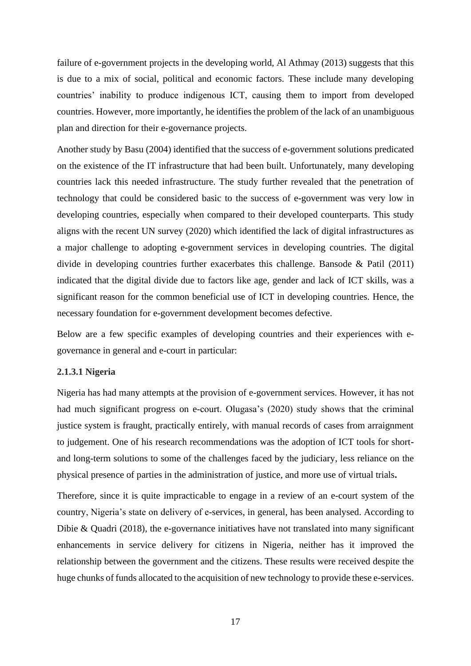failure of e-government projects in the developing world, Al Athmay (2013) suggests that this is due to a mix of social, political and economic factors. These include many developing countries' inability to produce indigenous ICT, causing them to import from developed countries. However, more importantly, he identifies the problem of the lack of an unambiguous plan and direction for their e-governance projects.

Another study by Basu (2004) identified that the success of e-government solutions predicated on the existence of the IT infrastructure that had been built. Unfortunately, many developing countries lack this needed infrastructure. The study further revealed that the penetration of technology that could be considered basic to the success of e-government was very low in developing countries, especially when compared to their developed counterparts. This study aligns with the recent UN survey (2020) which identified the lack of digital infrastructures as a major challenge to adopting e-government services in developing countries. The digital divide in developing countries further exacerbates this challenge. Bansode & Patil (2011) indicated that the digital divide due to factors like age, gender and lack of ICT skills, was a significant reason for the common beneficial use of ICT in developing countries. Hence, the necessary foundation for e-government development becomes defective.

Below are a few specific examples of developing countries and their experiences with egovernance in general and e-court in particular:

#### **2.1.3.1 Nigeria**

Nigeria has had many attempts at the provision of e-government services. However, it has not had much significant progress on e-court. Olugasa's (2020) study shows that the criminal justice system is fraught, practically entirely, with manual records of cases from arraignment to judgement. One of his research recommendations was the adoption of ICT tools for shortand long-term solutions to some of the challenges faced by the judiciary, less reliance on the physical presence of parties in the administration of justice, and more use of virtual trials**.**

Therefore, since it is quite impracticable to engage in a review of an e-court system of the country, Nigeria's state on delivery of e-services, in general, has been analysed. According to Dibie & Quadri  $(2018)$ , the e-governance initiatives have not translated into many significant enhancements in service delivery for citizens in Nigeria, neither has it improved the relationship between the government and the citizens. These results were received despite the huge chunks of funds allocated to the acquisition of new technology to provide these e-services.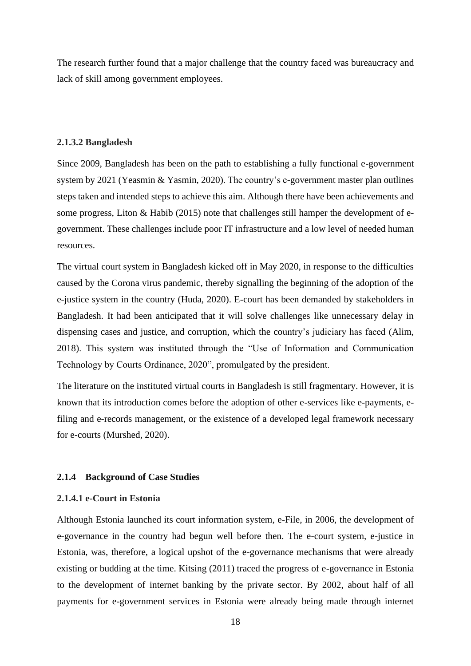The research further found that a major challenge that the country faced was bureaucracy and lack of skill among government employees.

## **2.1.3.2 Bangladesh**

Since 2009, Bangladesh has been on the path to establishing a fully functional e-government system by 2021 (Yeasmin & Yasmin, 2020). The country's e-government master plan outlines steps taken and intended steps to achieve this aim. Although there have been achievements and some progress, Liton & Habib (2015) note that challenges still hamper the development of egovernment. These challenges include poor IT infrastructure and a low level of needed human resources.

The virtual court system in Bangladesh kicked off in May 2020, in response to the difficulties caused by the Corona virus pandemic, thereby signalling the beginning of the adoption of the e-justice system in the country (Huda, 2020). E-court has been demanded by stakeholders in Bangladesh. It had been anticipated that it will solve challenges like unnecessary delay in dispensing cases and justice, and corruption, which the country's judiciary has faced (Alim, 2018). This system was instituted through the "Use of Information and Communication Technology by Courts Ordinance, 2020", promulgated by the president.

The literature on the instituted virtual courts in Bangladesh is still fragmentary. However, it is known that its introduction comes before the adoption of other e-services like e-payments, efiling and e-records management, or the existence of a developed legal framework necessary for e-courts (Murshed, 2020).

## <span id="page-17-0"></span>**2.1.4 Background of Case Studies**

## **2.1.4.1 e-Court in Estonia**

Although Estonia launched its court information system, e-File, in 2006, the development of e-governance in the country had begun well before then. The e-court system, e-justice in Estonia, was, therefore, a logical upshot of the e-governance mechanisms that were already existing or budding at the time. Kitsing (2011) traced the progress of e-governance in Estonia to the development of internet banking by the private sector. By 2002, about half of all payments for e-government services in Estonia were already being made through internet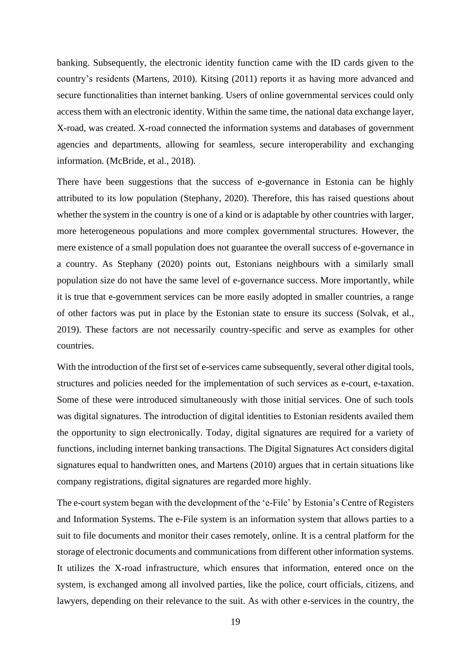banking. Subsequently, the electronic identity function came with the ID cards given to the country's residents (Martens, 2010). Kitsing (2011) reports it as having more advanced and secure functionalities than internet banking. Users of online governmental services could only access them with an electronic identity. Within the same time, the national data exchange layer, X-road, was created. X-road connected the information systems and databases of government agencies and departments, allowing for seamless, secure interoperability and exchanging information. (McBride, et al., 2018).

There have been suggestions that the success of e-governance in Estonia can be highly attributed to its low population (Stephany, 2020). Therefore, this has raised questions about whether the system in the country is one of a kind or is adaptable by other countries with larger, more heterogeneous populations and more complex governmental structures. However, the mere existence of a small population does not guarantee the overall success of e-governance in a country. As Stephany (2020) points out, Estonians neighbours with a similarly small population size do not have the same level of e-governance success. More importantly, while it is true that e-government services can be more easily adopted in smaller countries, a range of other factors was put in place by the Estonian state to ensure its success (Solvak, et al., 2019). These factors are not necessarily country-specific and serve as examples for other countries.

With the introduction of the first set of e-services came subsequently, several other digital tools, structures and policies needed for the implementation of such services as e-court, e-taxation. Some of these were introduced simultaneously with those initial services. One of such tools was digital signatures. The introduction of digital identities to Estonian residents availed them the opportunity to sign electronically. Today, digital signatures are required for a variety of functions, including internet banking transactions. The Digital Signatures Act considers digital signatures equal to handwritten ones, and Martens (2010) argues that in certain situations like company registrations, digital signatures are regarded more highly.

The e-court system began with the development of the 'e-File' by Estonia's Centre of Registers and Information Systems. The e-File system is an information system that allows parties to a suit to file documents and monitor their cases remotely, online. It is a central platform for the storage of electronic documents and communications from different other information systems. It utilizes the X-road infrastructure, which ensures that information, entered once on the system, is exchanged among all involved parties, like the police, court officials, citizens, and lawyers, depending on their relevance to the suit. As with other e-services in the country, the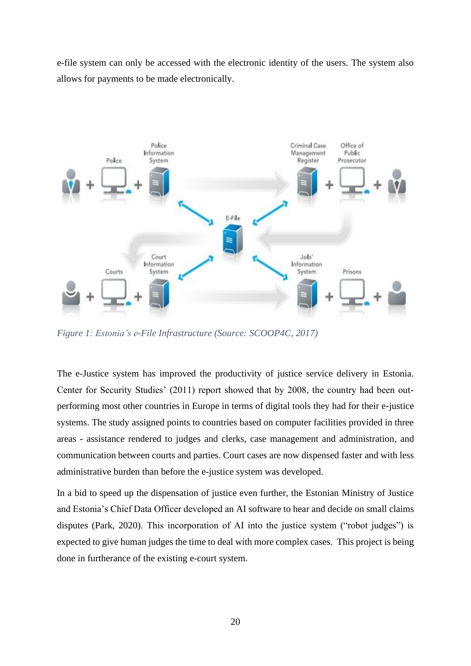e-file system can only be accessed with the electronic identity of the users. The system also allows for payments to be made electronically.



*Figure 1: Estonia's e-File Infrastructure (Source: SCOOP4C, 2017)*

The e-Justice system has improved the productivity of justice service delivery in Estonia. Center for Security Studies' (2011) report showed that by 2008, the country had been outperforming most other countries in Europe in terms of digital tools they had for their e-justice systems. The study assigned points to countries based on computer facilities provided in three areas - assistance rendered to judges and clerks, case management and administration, and communication between courts and parties. Court cases are now dispensed faster and with less administrative burden than before the e-justice system was developed.

In a bid to speed up the dispensation of justice even further, the Estonian Ministry of Justice and Estonia's Chief Data Officer developed an AI software to hear and decide on small claims disputes (Park, 2020). This incorporation of AI into the justice system ("robot judges") is expected to give human judges the time to deal with more complex cases. This project is being done in furtherance of the existing e-court system.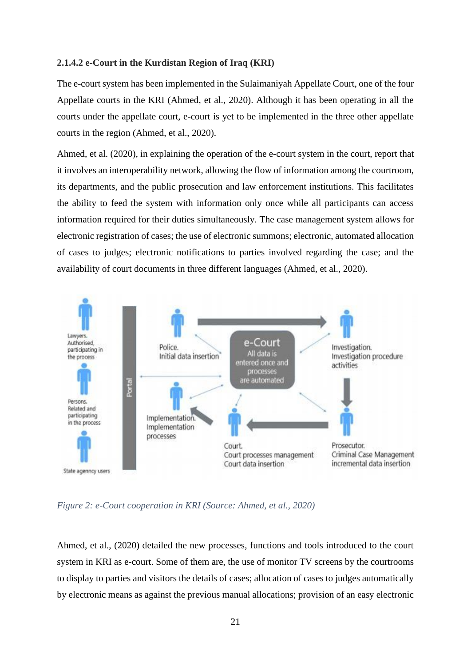## **2.1.4.2 e-Court in the Kurdistan Region of Iraq (KRI)**

The e-court system has been implemented in the Sulaimaniyah Appellate Court, one of the four Appellate courts in the KRI (Ahmed, et al., 2020). Although it has been operating in all the courts under the appellate court, e-court is yet to be implemented in the three other appellate courts in the region (Ahmed, et al., 2020).

Ahmed, et al. (2020), in explaining the operation of the e-court system in the court, report that it involves an interoperability network, allowing the flow of information among the courtroom, its departments, and the public prosecution and law enforcement institutions. This facilitates the ability to feed the system with information only once while all participants can access information required for their duties simultaneously. The case management system allows for electronic registration of cases; the use of electronic summons; electronic, automated allocation of cases to judges; electronic notifications to parties involved regarding the case; and the availability of court documents in three different languages (Ahmed, et al., 2020).



*Figure 2: e-Court cooperation in KRI (Source: Ahmed, et al., 2020)*

Ahmed, et al., (2020) detailed the new processes, functions and tools introduced to the court system in KRI as e-court. Some of them are, the use of monitor TV screens by the courtrooms to display to parties and visitors the details of cases; allocation of cases to judges automatically by electronic means as against the previous manual allocations; provision of an easy electronic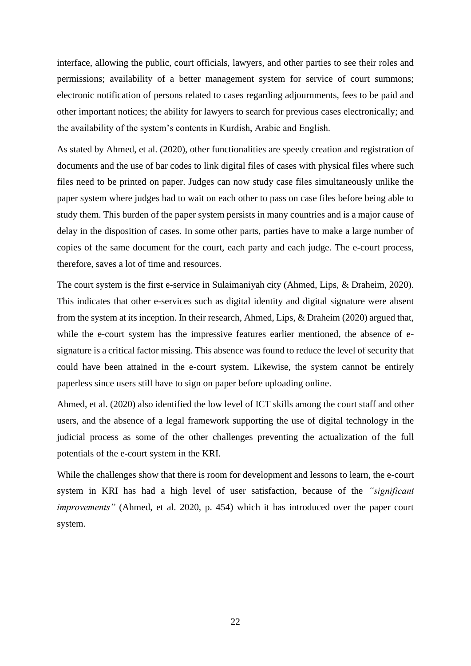interface, allowing the public, court officials, lawyers, and other parties to see their roles and permissions; availability of a better management system for service of court summons; electronic notification of persons related to cases regarding adjournments, fees to be paid and other important notices; the ability for lawyers to search for previous cases electronically; and the availability of the system's contents in Kurdish, Arabic and English.

As stated by Ahmed, et al. (2020), other functionalities are speedy creation and registration of documents and the use of bar codes to link digital files of cases with physical files where such files need to be printed on paper. Judges can now study case files simultaneously unlike the paper system where judges had to wait on each other to pass on case files before being able to study them. This burden of the paper system persists in many countries and is a major cause of delay in the disposition of cases. In some other parts, parties have to make a large number of copies of the same document for the court, each party and each judge. The e-court process, therefore, saves a lot of time and resources.

The court system is the first e-service in Sulaimaniyah city (Ahmed, Lips, & Draheim, 2020). This indicates that other e-services such as digital identity and digital signature were absent from the system at its inception. In their research, Ahmed, Lips, & Draheim (2020) argued that, while the e-court system has the impressive features earlier mentioned, the absence of esignature is a critical factor missing. This absence was found to reduce the level of security that could have been attained in the e-court system. Likewise, the system cannot be entirely paperless since users still have to sign on paper before uploading online.

Ahmed, et al. (2020) also identified the low level of ICT skills among the court staff and other users, and the absence of a legal framework supporting the use of digital technology in the judicial process as some of the other challenges preventing the actualization of the full potentials of the e-court system in the KRI.

While the challenges show that there is room for development and lessons to learn, the e-court system in KRI has had a high level of user satisfaction, because of the *"significant improvements"* (Ahmed, et al. 2020, p. 454) which it has introduced over the paper court system.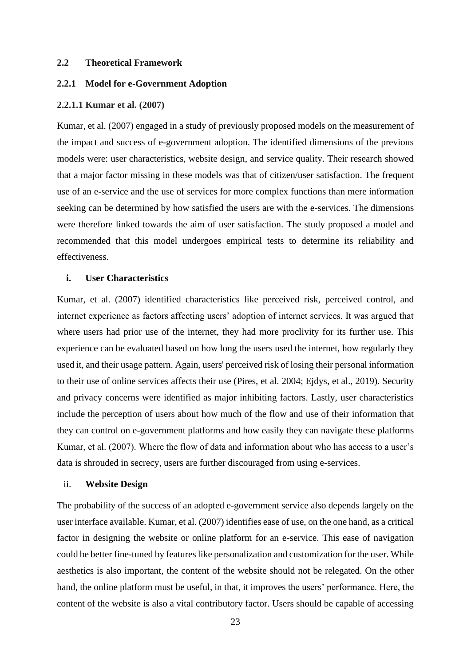#### <span id="page-22-0"></span>**2.2 Theoretical Framework**

## <span id="page-22-1"></span>**2.2.1 Model for e-Government Adoption**

#### **2.2.1.1 Kumar et al. (2007)**

Kumar, et al. (2007) engaged in a study of previously proposed models on the measurement of the impact and success of e-government adoption. The identified dimensions of the previous models were: user characteristics, website design, and service quality. Their research showed that a major factor missing in these models was that of citizen/user satisfaction. The frequent use of an e-service and the use of services for more complex functions than mere information seeking can be determined by how satisfied the users are with the e-services. The dimensions were therefore linked towards the aim of user satisfaction. The study proposed a model and recommended that this model undergoes empirical tests to determine its reliability and effectiveness.

#### **i. User Characteristics**

Kumar, et al. (2007) identified characteristics like perceived risk, perceived control, and internet experience as factors affecting users' adoption of internet services. It was argued that where users had prior use of the internet, they had more proclivity for its further use. This experience can be evaluated based on how long the users used the internet, how regularly they used it, and their usage pattern. Again, users' perceived risk of losing their personal information to their use of online services affects their use (Pires, et al. 2004; Ejdys, et al., 2019). Security and privacy concerns were identified as major inhibiting factors. Lastly, user characteristics include the perception of users about how much of the flow and use of their information that they can control on e-government platforms and how easily they can navigate these platforms Kumar, et al. (2007). Where the flow of data and information about who has access to a user's data is shrouded in secrecy, users are further discouraged from using e-services.

#### ii. **Website Design**

The probability of the success of an adopted e-government service also depends largely on the user interface available. Kumar, et al. (2007) identifies ease of use, on the one hand, as a critical factor in designing the website or online platform for an e-service. This ease of navigation could be better fine-tuned by features like personalization and customization for the user. While aesthetics is also important, the content of the website should not be relegated. On the other hand, the online platform must be useful, in that, it improves the users' performance. Here, the content of the website is also a vital contributory factor. Users should be capable of accessing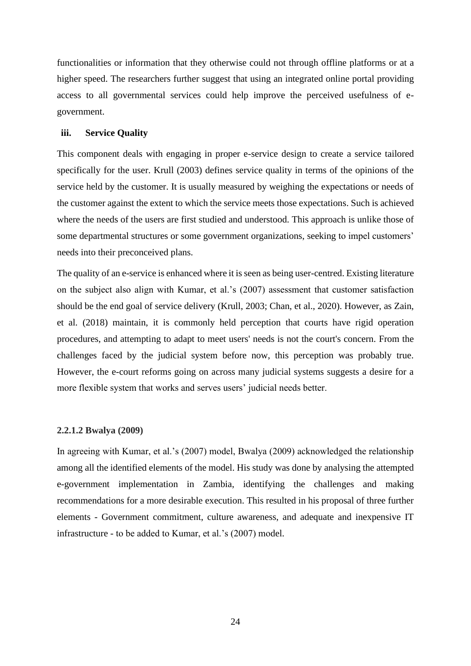functionalities or information that they otherwise could not through offline platforms or at a higher speed. The researchers further suggest that using an integrated online portal providing access to all governmental services could help improve the perceived usefulness of egovernment.

#### **iii. Service Quality**

This component deals with engaging in proper e-service design to create a service tailored specifically for the user. Krull (2003) defines service quality in terms of the opinions of the service held by the customer. It is usually measured by weighing the expectations or needs of the customer against the extent to which the service meets those expectations. Such is achieved where the needs of the users are first studied and understood. This approach is unlike those of some departmental structures or some government organizations, seeking to impel customers' needs into their preconceived plans.

The quality of an e-service is enhanced where it is seen as being user-centred. Existing literature on the subject also align with Kumar, et al.'s (2007) assessment that customer satisfaction should be the end goal of service delivery (Krull, 2003; Chan, et al., 2020). However, as Zain, et al. (2018) maintain, it is commonly held perception that courts have rigid operation procedures, and attempting to adapt to meet users' needs is not the court's concern. From the challenges faced by the judicial system before now, this perception was probably true. However, the e-court reforms going on across many judicial systems suggests a desire for a more flexible system that works and serves users' judicial needs better.

#### **2.2.1.2 Bwalya (2009)**

In agreeing with Kumar, et al.'s (2007) model, Bwalya (2009) acknowledged the relationship among all the identified elements of the model. His study was done by analysing the attempted e-government implementation in Zambia, identifying the challenges and making recommendations for a more desirable execution. This resulted in his proposal of three further elements - Government commitment, culture awareness, and adequate and inexpensive IT infrastructure - to be added to Kumar, et al.'s (2007) model.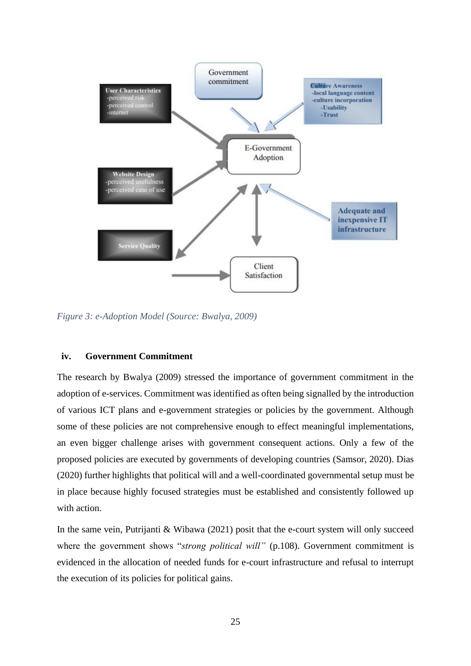

*Figure 3: e-Adoption Model (Source: Bwalya, 2009)*

### **iv. Government Commitment**

The research by Bwalya (2009) stressed the importance of government commitment in the adoption of e-services. Commitment was identified as often being signalled by the introduction of various ICT plans and e-government strategies or policies by the government. Although some of these policies are not comprehensive enough to effect meaningful implementations, an even bigger challenge arises with government consequent actions. Only a few of the proposed policies are executed by governments of developing countries (Samsor, 2020). Dias (2020) further highlights that political will and a well-coordinated governmental setup must be in place because highly focused strategies must be established and consistently followed up with action.

In the same vein, Putrijanti & Wibawa (2021) posit that the e-court system will only succeed where the government shows "*strong political will*" (p.108). Government commitment is evidenced in the allocation of needed funds for e-court infrastructure and refusal to interrupt the execution of its policies for political gains.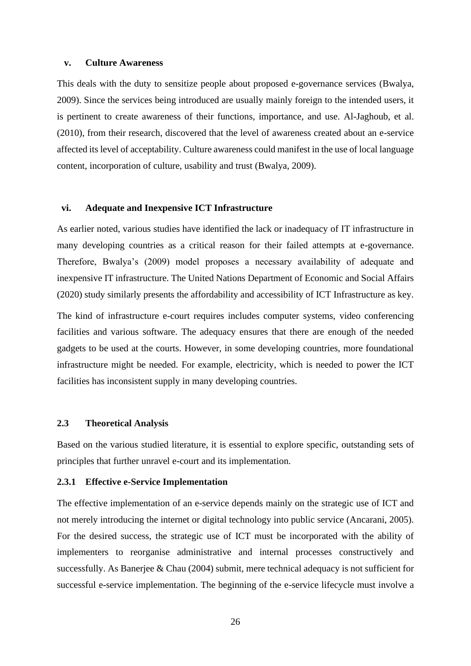### **v. Culture Awareness**

This deals with the duty to sensitize people about proposed e-governance services (Bwalya, 2009). Since the services being introduced are usually mainly foreign to the intended users, it is pertinent to create awareness of their functions, importance, and use. Al-Jaghoub, et al. (2010), from their research, discovered that the level of awareness created about an e-service affected its level of acceptability. Culture awareness could manifest in the use of local language content, incorporation of culture, usability and trust (Bwalya, 2009).

### **vi. Adequate and Inexpensive ICT Infrastructure**

As earlier noted, various studies have identified the lack or inadequacy of IT infrastructure in many developing countries as a critical reason for their failed attempts at e-governance. Therefore, Bwalya's (2009) model proposes a necessary availability of adequate and inexpensive IT infrastructure. The United Nations Department of Economic and Social Affairs (2020) study similarly presents the affordability and accessibility of ICT Infrastructure as key.

The kind of infrastructure e-court requires includes computer systems, video conferencing facilities and various software. The adequacy ensures that there are enough of the needed gadgets to be used at the courts. However, in some developing countries, more foundational infrastructure might be needed. For example, electricity, which is needed to power the ICT facilities has inconsistent supply in many developing countries.

## <span id="page-25-0"></span>**2.3 Theoretical Analysis**

Based on the various studied literature, it is essential to explore specific, outstanding sets of principles that further unravel e-court and its implementation.

## <span id="page-25-1"></span>**2.3.1 Effective e-Service Implementation**

The effective implementation of an e-service depends mainly on the strategic use of ICT and not merely introducing the internet or digital technology into public service (Ancarani, 2005). For the desired success, the strategic use of ICT must be incorporated with the ability of implementers to reorganise administrative and internal processes constructively and successfully. As Banerjee & Chau (2004) submit, mere technical adequacy is not sufficient for successful e-service implementation. The beginning of the e-service lifecycle must involve a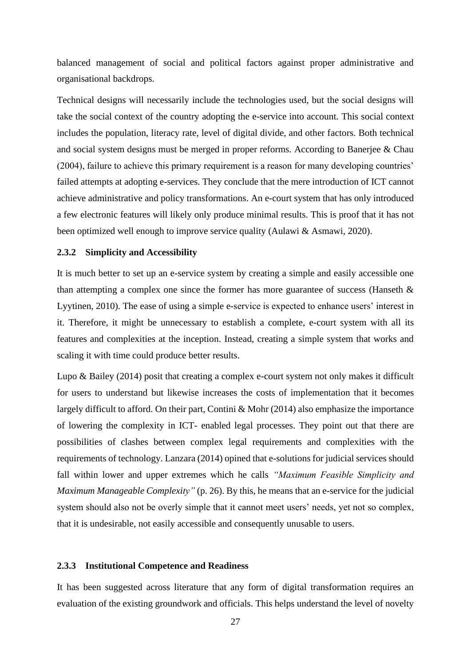balanced management of social and political factors against proper administrative and organisational backdrops.

Technical designs will necessarily include the technologies used, but the social designs will take the social context of the country adopting the e-service into account. This social context includes the population, literacy rate, level of digital divide, and other factors. Both technical and social system designs must be merged in proper reforms. According to Banerjee & Chau (2004), failure to achieve this primary requirement is a reason for many developing countries' failed attempts at adopting e-services. They conclude that the mere introduction of ICT cannot achieve administrative and policy transformations. An e-court system that has only introduced a few electronic features will likely only produce minimal results. This is proof that it has not been optimized well enough to improve service quality (Aulawi & Asmawi, 2020).

## <span id="page-26-0"></span>**2.3.2 Simplicity and Accessibility**

It is much better to set up an e-service system by creating a simple and easily accessible one than attempting a complex one since the former has more guarantee of success (Hanseth  $\&$ Lyytinen, 2010). The ease of using a simple e-service is expected to enhance users' interest in it. Therefore, it might be unnecessary to establish a complete, e-court system with all its features and complexities at the inception. Instead, creating a simple system that works and scaling it with time could produce better results.

Lupo & Bailey (2014) posit that creating a complex e-court system not only makes it difficult for users to understand but likewise increases the costs of implementation that it becomes largely difficult to afford. On their part, Contini & Mohr (2014) also emphasize the importance of lowering the complexity in ICT- enabled legal processes. They point out that there are possibilities of clashes between complex legal requirements and complexities with the requirements of technology. Lanzara (2014) opined that e-solutions for judicial services should fall within lower and upper extremes which he calls *"Maximum Feasible Simplicity and Maximum Manageable Complexity"* (p. 26). By this, he means that an e-service for the judicial system should also not be overly simple that it cannot meet users' needs, yet not so complex, that it is undesirable, not easily accessible and consequently unusable to users.

## <span id="page-26-1"></span>**2.3.3 Institutional Competence and Readiness**

It has been suggested across literature that any form of digital transformation requires an evaluation of the existing groundwork and officials. This helps understand the level of novelty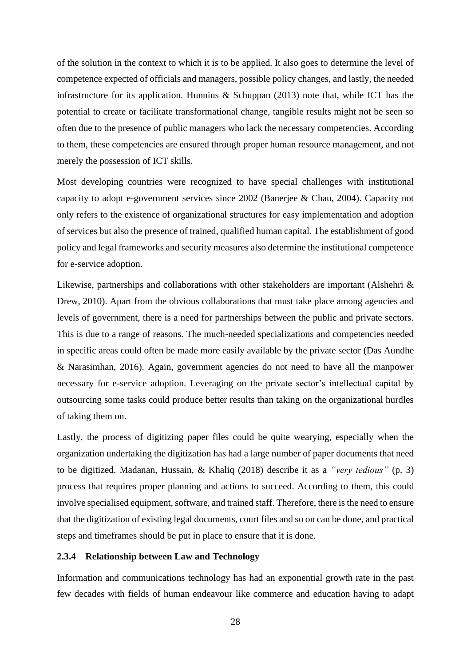of the solution in the context to which it is to be applied. It also goes to determine the level of competence expected of officials and managers, possible policy changes, and lastly, the needed infrastructure for its application. Hunnius & Schuppan (2013) note that, while ICT has the potential to create or facilitate transformational change, tangible results might not be seen so often due to the presence of public managers who lack the necessary competencies. According to them, these competencies are ensured through proper human resource management, and not merely the possession of ICT skills.

Most developing countries were recognized to have special challenges with institutional capacity to adopt e-government services since 2002 (Banerjee & Chau, 2004). Capacity not only refers to the existence of organizational structures for easy implementation and adoption of services but also the presence of trained, qualified human capital. The establishment of good policy and legal frameworks and security measures also determine the institutional competence for e-service adoption.

Likewise, partnerships and collaborations with other stakeholders are important (Alshehri & Drew, 2010). Apart from the obvious collaborations that must take place among agencies and levels of government, there is a need for partnerships between the public and private sectors. This is due to a range of reasons. The much-needed specializations and competencies needed in specific areas could often be made more easily available by the private sector (Das Aundhe & Narasimhan, 2016). Again, government agencies do not need to have all the manpower necessary for e-service adoption. Leveraging on the private sector's intellectual capital by outsourcing some tasks could produce better results than taking on the organizational hurdles of taking them on.

Lastly, the process of digitizing paper files could be quite wearying, especially when the organization undertaking the digitization has had a large number of paper documents that need to be digitized. Madanan, Hussain, & Khaliq (2018) describe it as a *"very tedious"* (p. 3) process that requires proper planning and actions to succeed. According to them, this could involve specialised equipment, software, and trained staff. Therefore, there is the need to ensure that the digitization of existing legal documents, court files and so on can be done, and practical steps and timeframes should be put in place to ensure that it is done.

## <span id="page-27-0"></span>**2.3.4 Relationship between Law and Technology**

Information and communications technology has had an exponential growth rate in the past few decades with fields of human endeavour like commerce and education having to adapt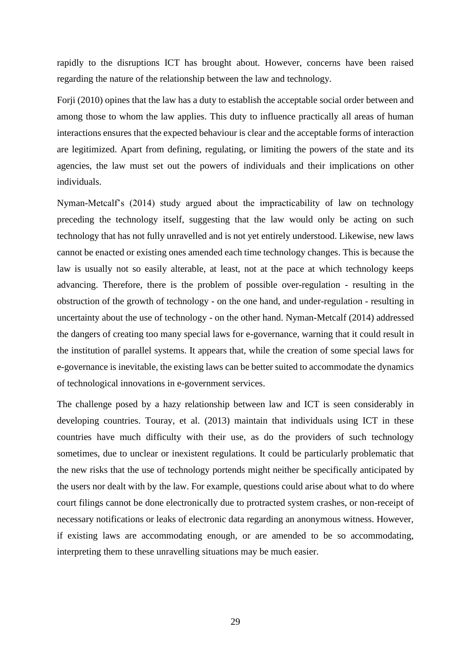rapidly to the disruptions ICT has brought about. However, concerns have been raised regarding the nature of the relationship between the law and technology.

Forji (2010) opines that the law has a duty to establish the acceptable social order between and among those to whom the law applies. This duty to influence practically all areas of human interactions ensures that the expected behaviour is clear and the acceptable forms of interaction are legitimized. Apart from defining, regulating, or limiting the powers of the state and its agencies, the law must set out the powers of individuals and their implications on other individuals.

Nyman-Metcalf's (2014) study argued about the impracticability of law on technology preceding the technology itself, suggesting that the law would only be acting on such technology that has not fully unravelled and is not yet entirely understood. Likewise, new laws cannot be enacted or existing ones amended each time technology changes. This is because the law is usually not so easily alterable, at least, not at the pace at which technology keeps advancing. Therefore, there is the problem of possible over-regulation - resulting in the obstruction of the growth of technology - on the one hand, and under-regulation - resulting in uncertainty about the use of technology - on the other hand. Nyman-Metcalf (2014) addressed the dangers of creating too many special laws for e-governance, warning that it could result in the institution of parallel systems. It appears that, while the creation of some special laws for e-governance is inevitable, the existing laws can be better suited to accommodate the dynamics of technological innovations in e-government services.

The challenge posed by a hazy relationship between law and ICT is seen considerably in developing countries. Touray, et al. (2013) maintain that individuals using ICT in these countries have much difficulty with their use, as do the providers of such technology sometimes, due to unclear or inexistent regulations. It could be particularly problematic that the new risks that the use of technology portends might neither be specifically anticipated by the users nor dealt with by the law. For example, questions could arise about what to do where court filings cannot be done electronically due to protracted system crashes, or non-receipt of necessary notifications or leaks of electronic data regarding an anonymous witness. However, if existing laws are accommodating enough, or are amended to be so accommodating, interpreting them to these unravelling situations may be much easier.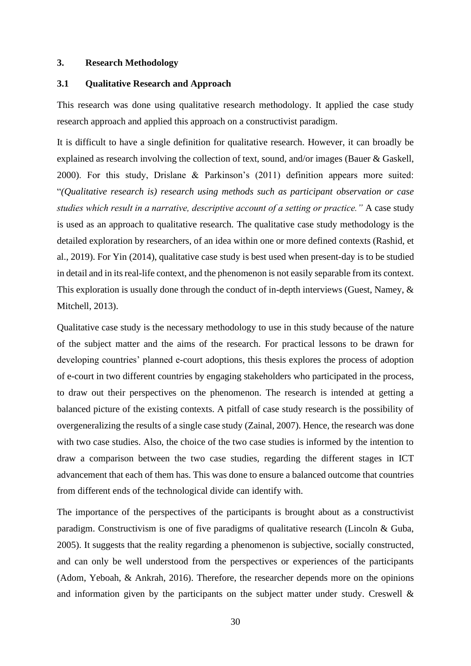#### <span id="page-29-0"></span>**3. Research Methodology**

## <span id="page-29-1"></span>**3.1 Qualitative Research and Approach**

This research was done using qualitative research methodology. It applied the case study research approach and applied this approach on a constructivist paradigm.

It is difficult to have a single definition for qualitative research. However, it can broadly be explained as research involving the collection of text, sound, and/or images (Bauer & Gaskell, 2000). For this study, Drislane & Parkinson's (2011) definition appears more suited: "*(Qualitative research is) research using methods such as participant observation or case studies which result in a narrative, descriptive account of a setting or practice."* A case study is used as an approach to qualitative research. The qualitative case study methodology is the detailed exploration by researchers, of an idea within one or more defined contexts (Rashid, et al., 2019). For Yin (2014), qualitative case study is best used when present-day is to be studied in detail and in its real-life context, and the phenomenon is not easily separable from its context. This exploration is usually done through the conduct of in-depth interviews (Guest, Namey, & Mitchell, 2013).

Qualitative case study is the necessary methodology to use in this study because of the nature of the subject matter and the aims of the research. For practical lessons to be drawn for developing countries' planned e-court adoptions, this thesis explores the process of adoption of e-court in two different countries by engaging stakeholders who participated in the process, to draw out their perspectives on the phenomenon. The research is intended at getting a balanced picture of the existing contexts. A pitfall of case study research is the possibility of overgeneralizing the results of a single case study (Zainal, 2007). Hence, the research was done with two case studies. Also, the choice of the two case studies is informed by the intention to draw a comparison between the two case studies, regarding the different stages in ICT advancement that each of them has. This was done to ensure a balanced outcome that countries from different ends of the technological divide can identify with.

The importance of the perspectives of the participants is brought about as a constructivist paradigm. Constructivism is one of five paradigms of qualitative research (Lincoln & Guba, 2005). It suggests that the reality regarding a phenomenon is subjective, socially constructed, and can only be well understood from the perspectives or experiences of the participants (Adom, Yeboah, & Ankrah, 2016). Therefore, the researcher depends more on the opinions and information given by the participants on the subject matter under study. Creswell  $\&$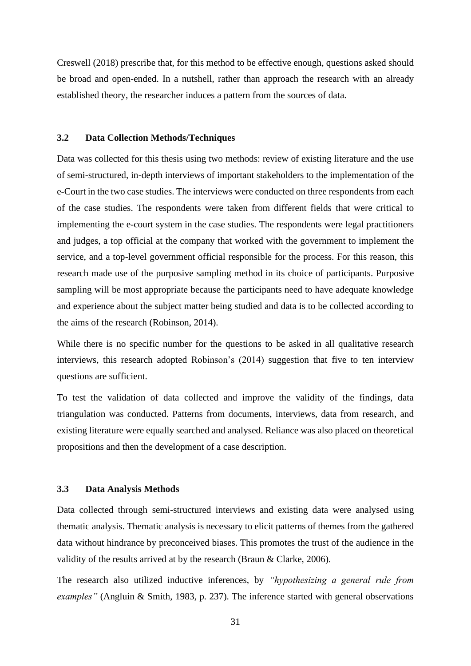Creswell (2018) prescribe that, for this method to be effective enough, questions asked should be broad and open-ended. In a nutshell, rather than approach the research with an already established theory, the researcher induces a pattern from the sources of data.

## <span id="page-30-0"></span>**3.2 Data Collection Methods/Techniques**

Data was collected for this thesis using two methods: review of existing literature and the use of semi-structured, in-depth interviews of important stakeholders to the implementation of the e-Court in the two case studies. The interviews were conducted on three respondents from each of the case studies. The respondents were taken from different fields that were critical to implementing the e-court system in the case studies. The respondents were legal practitioners and judges, a top official at the company that worked with the government to implement the service, and a top-level government official responsible for the process. For this reason, this research made use of the purposive sampling method in its choice of participants. Purposive sampling will be most appropriate because the participants need to have adequate knowledge and experience about the subject matter being studied and data is to be collected according to the aims of the research (Robinson, 2014).

While there is no specific number for the questions to be asked in all qualitative research interviews, this research adopted Robinson's (2014) suggestion that five to ten interview questions are sufficient.

To test the validation of data collected and improve the validity of the findings, data triangulation was conducted. Patterns from documents, interviews, data from research, and existing literature were equally searched and analysed. Reliance was also placed on theoretical propositions and then the development of a case description.

## <span id="page-30-1"></span>**3.3 Data Analysis Methods**

Data collected through semi-structured interviews and existing data were analysed using thematic analysis. Thematic analysis is necessary to elicit patterns of themes from the gathered data without hindrance by preconceived biases. This promotes the trust of the audience in the validity of the results arrived at by the research (Braun & Clarke, 2006).

The research also utilized inductive inferences, by *"hypothesizing a general rule from examples"* (Angluin & Smith, 1983, p. 237). The inference started with general observations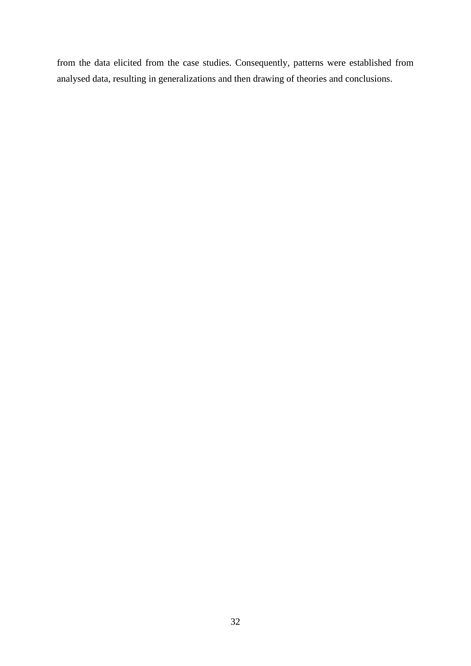from the data elicited from the case studies. Consequently, patterns were established from analysed data, resulting in generalizations and then drawing of theories and conclusions.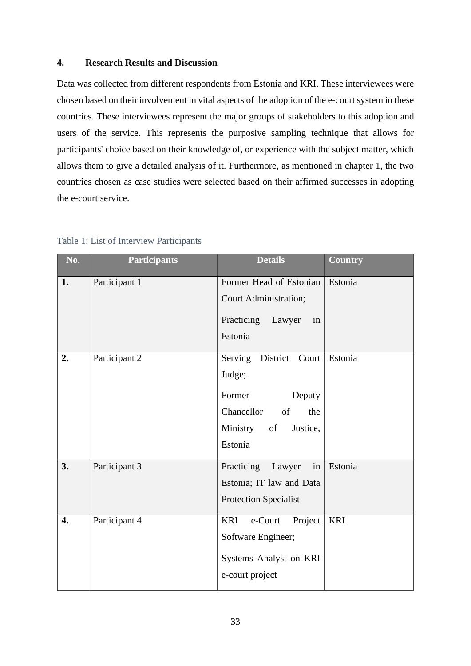## <span id="page-32-0"></span>**4. Research Results and Discussion**

Data was collected from different respondents from Estonia and KRI. These interviewees were chosen based on their involvement in vital aspects of the adoption of the e-court system in these countries. These interviewees represent the major groups of stakeholders to this adoption and users of the service. This represents the purposive sampling technique that allows for participants' choice based on their knowledge of, or experience with the subject matter, which allows them to give a detailed analysis of it. Furthermore, as mentioned in chapter 1, the two countries chosen as case studies were selected based on their affirmed successes in adopting the e-court service.

| No. | <b>Participants</b> | <b>Details</b>                                                                                                        | <b>Country</b> |
|-----|---------------------|-----------------------------------------------------------------------------------------------------------------------|----------------|
| 1.  | Participant 1       | Former Head of Estonian<br>Court Administration;<br>Practicing Lawyer<br>in<br>Estonia                                | Estonia        |
| 2.  | Participant 2       | Serving District Court<br>Judge;<br>Former<br>Deputy<br>Chancellor<br>of<br>the<br>Ministry of<br>Justice,<br>Estonia | Estonia        |
| 3.  | Participant 3       | Practicing Lawyer<br>in<br>Estonia; IT law and Data<br><b>Protection Specialist</b>                                   | Estonia        |
| 4.  | Participant 4       | e-Court<br>Project<br><b>KRI</b><br>Software Engineer;<br>Systems Analyst on KRI<br>e-court project                   | <b>KRI</b>     |

## <span id="page-32-1"></span>Table 1: List of Interview Participants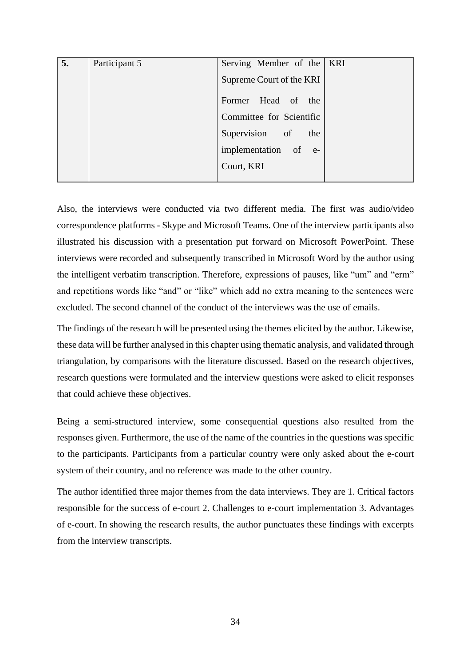| 5. | Participant 5 | Serving Member of the   KRI |  |
|----|---------------|-----------------------------|--|
|    |               | Supreme Court of the KRI    |  |
|    |               | Former Head of the          |  |
|    |               | Committee for Scientific    |  |
|    |               | Supervision of the          |  |
|    |               | implementation of e-        |  |
|    |               | Court, KRI                  |  |
|    |               |                             |  |

Also, the interviews were conducted via two different media. The first was audio/video correspondence platforms - Skype and Microsoft Teams. One of the interview participants also illustrated his discussion with a presentation put forward on Microsoft PowerPoint. These interviews were recorded and subsequently transcribed in Microsoft Word by the author using the intelligent verbatim transcription. Therefore, expressions of pauses, like "um" and "erm" and repetitions words like "and" or "like" which add no extra meaning to the sentences were excluded. The second channel of the conduct of the interviews was the use of emails.

The findings of the research will be presented using the themes elicited by the author. Likewise, these data will be further analysed in this chapter using thematic analysis, and validated through triangulation, by comparisons with the literature discussed. Based on the research objectives, research questions were formulated and the interview questions were asked to elicit responses that could achieve these objectives.

Being a semi-structured interview, some consequential questions also resulted from the responses given. Furthermore, the use of the name of the countries in the questions was specific to the participants. Participants from a particular country were only asked about the e-court system of their country, and no reference was made to the other country.

The author identified three major themes from the data interviews. They are 1. Critical factors responsible for the success of e-court 2. Challenges to e-court implementation 3. Advantages of e-court. In showing the research results, the author punctuates these findings with excerpts from the interview transcripts.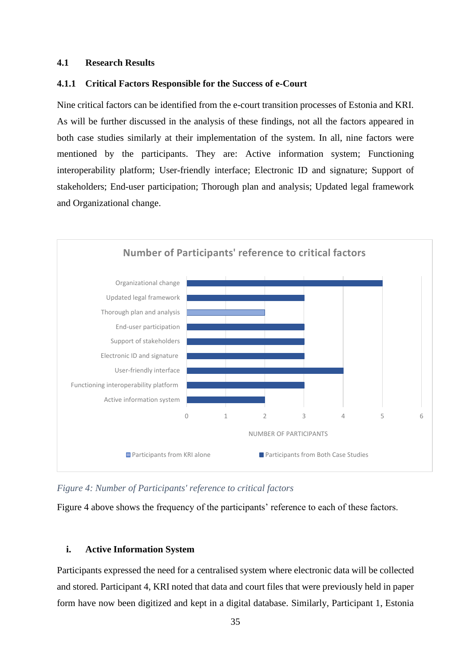### <span id="page-34-0"></span>**4.1 Research Results**

## <span id="page-34-1"></span>**4.1.1 Critical Factors Responsible for the Success of e-Court**

Nine critical factors can be identified from the e-court transition processes of Estonia and KRI. As will be further discussed in the analysis of these findings, not all the factors appeared in both case studies similarly at their implementation of the system. In all, nine factors were mentioned by the participants. They are: Active information system; Functioning interoperability platform; User-friendly interface; Electronic ID and signature; Support of stakeholders; End-user participation; Thorough plan and analysis; Updated legal framework and Organizational change.



*Figure 4: Number of Participants' reference to critical factors*

Figure 4 above shows the frequency of the participants' reference to each of these factors.

## **i. Active Information System**

Participants expressed the need for a centralised system where electronic data will be collected and stored. Participant 4, KRI noted that data and court files that were previously held in paper form have now been digitized and kept in a digital database. Similarly, Participant 1, Estonia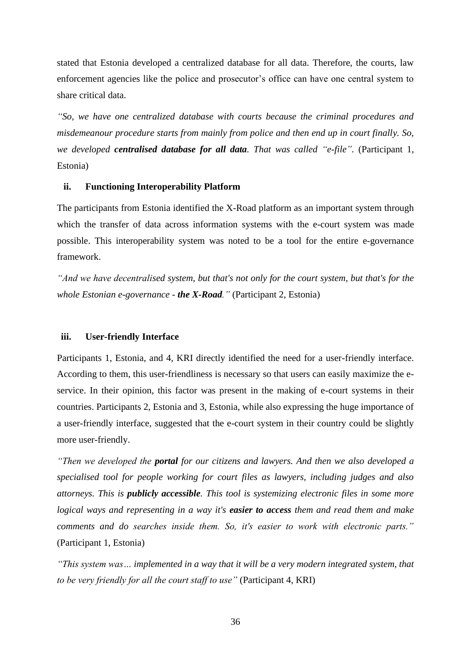stated that Estonia developed a centralized database for all data. Therefore, the courts, law enforcement agencies like the police and prosecutor's office can have one central system to share critical data.

*"So, we have one centralized database with courts because the criminal procedures and misdemeanour procedure starts from mainly from police and then end up in court finally. So, we developed centralised database for all data. That was called "e-file".* (Participant 1, Estonia)

### **ii. Functioning Interoperability Platform**

The participants from Estonia identified the X-Road platform as an important system through which the transfer of data across information systems with the e-court system was made possible. This interoperability system was noted to be a tool for the entire e-governance framework.

*"And we have decentralised system, but that's not only for the court system, but that's for the whole Estonian e-governance - the X-Road."* (Participant 2, Estonia)

## **iii. User-friendly Interface**

Participants 1, Estonia, and 4, KRI directly identified the need for a user-friendly interface. According to them, this user-friendliness is necessary so that users can easily maximize the eservice. In their opinion, this factor was present in the making of e-court systems in their countries. Participants 2, Estonia and 3, Estonia, while also expressing the huge importance of a user-friendly interface, suggested that the e-court system in their country could be slightly more user-friendly.

*"Then we developed the portal for our citizens and lawyers. And then we also developed a specialised tool for people working for court files as lawyers, including judges and also attorneys. This is publicly accessible. This tool is systemizing electronic files in some more logical ways and representing in a way it's easier to access them and read them and make comments and do searches inside them. So, it's easier to work with electronic parts."*  (Participant 1, Estonia)

*"This system was… implemented in a way that it will be a very modern integrated system, that to be very friendly for all the court staff to use"* (Participant 4, KRI)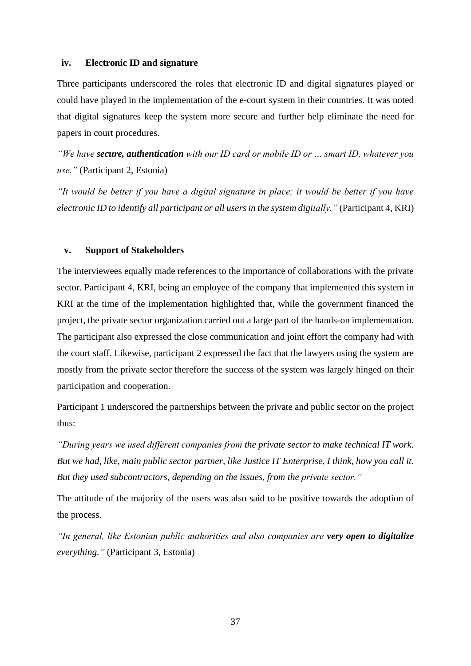## **iv. Electronic ID and signature**

Three participants underscored the roles that electronic ID and digital signatures played or could have played in the implementation of the e-court system in their countries. It was noted that digital signatures keep the system more secure and further help eliminate the need for papers in court procedures.

*"We have secure, authentication with our ID card or mobile ID or … smart ID, whatever you use."* (Participant 2, Estonia)

*"It would be better if you have a digital signature in place; it would be better if you have electronic ID to identify all participant or all users in the system digitally."* (Participant 4, KRI)

### **v. Support of Stakeholders**

The interviewees equally made references to the importance of collaborations with the private sector. Participant 4, KRI, being an employee of the company that implemented this system in KRI at the time of the implementation highlighted that, while the government financed the project, the private sector organization carried out a large part of the hands-on implementation. The participant also expressed the close communication and joint effort the company had with the court staff. Likewise, participant 2 expressed the fact that the lawyers using the system are mostly from the private sector therefore the success of the system was largely hinged on their participation and cooperation.

Participant 1 underscored the partnerships between the private and public sector on the project thus:

*"During years we used different companies from the private sector to make technical IT work. But we had, like, main public sector partner, like Justice IT Enterprise, I think, how you call it. But they used subcontractors, depending on the issues, from the private sector."*

The attitude of the majority of the users was also said to be positive towards the adoption of the process.

*"In general, like Estonian public authorities and also companies are very open to digitalize everything."* (Participant 3, Estonia)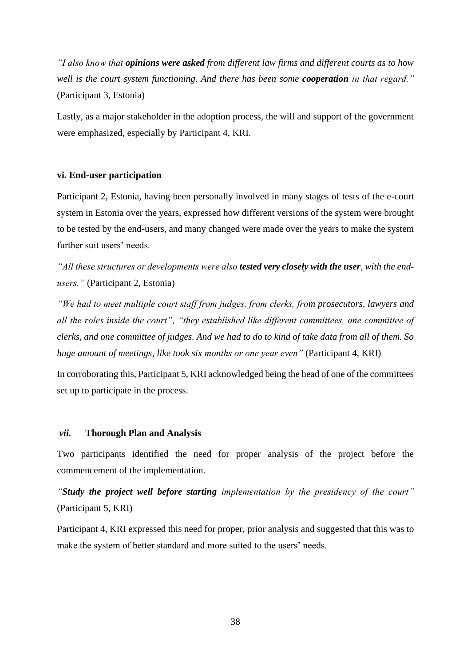*"I also know that opinions were asked from different law firms and different courts as to how well is the court system functioning. And there has been some cooperation in that regard."*  (Participant 3, Estonia)

Lastly, as a major stakeholder in the adoption process, the will and support of the government were emphasized, especially by Participant 4, KRI.

#### **vi. End-user participation**

Participant 2, Estonia, having been personally involved in many stages of tests of the e-court system in Estonia over the years, expressed how different versions of the system were brought to be tested by the end-users, and many changed were made over the years to make the system further suit users' needs.

"All these structures or developments were also **tested very closely with the user**, with the end*users."* (Participant 2, Estonia)

*"We had to meet multiple court staff from judges, from clerks, from prosecutors, lawyers and all the roles inside the court", "they established like different committees, one committee of clerks, and one committee of judges. And we had to do to kind of take data from all of them. So huge amount of meetings, like took six months or one year even"* (Participant 4, KRI)

In corroborating this, Participant 5, KRI acknowledged being the head of one of the committees set up to participate in the process.

## *vii.* **Thorough Plan and Analysis**

Two participants identified the need for proper analysis of the project before the commencement of the implementation.

*"Study the project well before starting implementation by the presidency of the court"*  (Participant 5, KRI)

Participant 4, KRI expressed this need for proper, prior analysis and suggested that this was to make the system of better standard and more suited to the users' needs.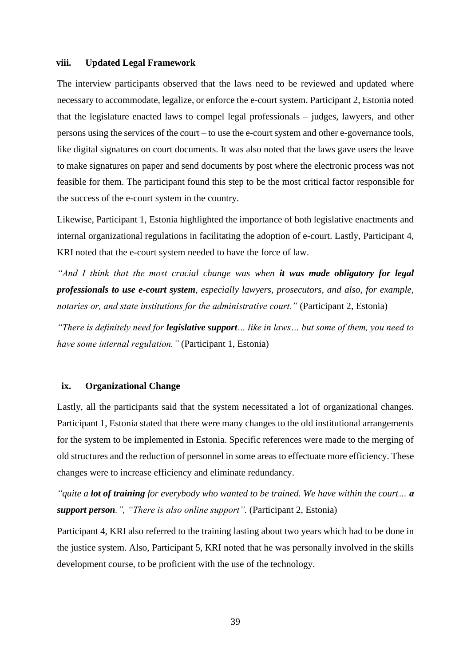### **viii. Updated Legal Framework**

The interview participants observed that the laws need to be reviewed and updated where necessary to accommodate, legalize, or enforce the e-court system. Participant 2, Estonia noted that the legislature enacted laws to compel legal professionals – judges, lawyers, and other persons using the services of the court – to use the e-court system and other e-governance tools, like digital signatures on court documents. It was also noted that the laws gave users the leave to make signatures on paper and send documents by post where the electronic process was not feasible for them. The participant found this step to be the most critical factor responsible for the success of the e-court system in the country.

Likewise, Participant 1, Estonia highlighted the importance of both legislative enactments and internal organizational regulations in facilitating the adoption of e-court. Lastly, Participant 4, KRI noted that the e-court system needed to have the force of law.

*"And I think that the most crucial change was when it was made obligatory for legal professionals to use e-court system, especially lawyers, prosecutors, and also, for example, notaries or, and state institutions for the administrative court."* (Participant 2, Estonia)

*"There is definitely need for legislative support… like in laws… but some of them, you need to have some internal regulation."* (Participant 1, Estonia)

## **ix. Organizational Change**

Lastly, all the participants said that the system necessitated a lot of organizational changes. Participant 1, Estonia stated that there were many changes to the old institutional arrangements for the system to be implemented in Estonia. Specific references were made to the merging of old structures and the reduction of personnel in some areas to effectuate more efficiency. These changes were to increase efficiency and eliminate redundancy.

*"quite a lot of training for everybody who wanted to be trained. We have within the court… a support person.", "There is also online support".* (Participant 2, Estonia)

Participant 4, KRI also referred to the training lasting about two years which had to be done in the justice system. Also, Participant 5, KRI noted that he was personally involved in the skills development course, to be proficient with the use of the technology.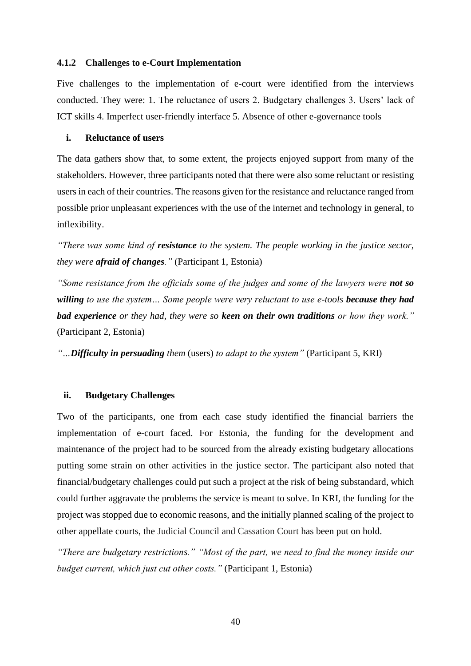### <span id="page-39-0"></span>**4.1.2 Challenges to e-Court Implementation**

Five challenges to the implementation of e-court were identified from the interviews conducted. They were: 1. The reluctance of users 2. Budgetary challenges 3. Users' lack of ICT skills 4. Imperfect user-friendly interface 5. Absence of other e-governance tools

## **i. Reluctance of users**

The data gathers show that, to some extent, the projects enjoyed support from many of the stakeholders. However, three participants noted that there were also some reluctant or resisting users in each of their countries. The reasons given for the resistance and reluctance ranged from possible prior unpleasant experiences with the use of the internet and technology in general, to inflexibility.

*"There was some kind of resistance to the system. The people working in the justice sector, they were afraid of changes."* (Participant 1, Estonia)

*"Some resistance from the officials some of the judges and some of the lawyers were not so willing to use the system… Some people were very reluctant to use e-tools because they had bad experience or they had, they were so keen on their own traditions or how they work."* (Participant 2, Estonia)

*"…Difficulty in persuading them* (users) *to adapt to the system"* (Participant 5, KRI)

## **ii. Budgetary Challenges**

Two of the participants, one from each case study identified the financial barriers the implementation of e-court faced. For Estonia, the funding for the development and maintenance of the project had to be sourced from the already existing budgetary allocations putting some strain on other activities in the justice sector. The participant also noted that financial/budgetary challenges could put such a project at the risk of being substandard, which could further aggravate the problems the service is meant to solve. In KRI, the funding for the project was stopped due to economic reasons, and the initially planned scaling of the project to other appellate courts, the Judicial Council and Cassation Court has been put on hold.

*"There are budgetary restrictions." "Most of the part, we need to find the money inside our budget current, which just cut other costs."* (Participant 1, Estonia)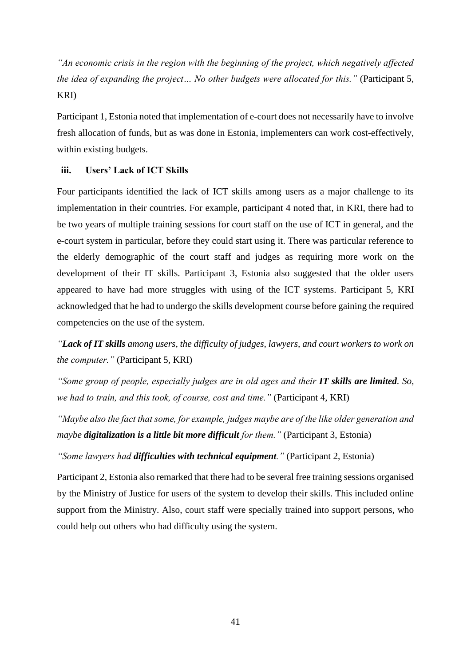*"An economic crisis in the region with the beginning of the project, which negatively affected the idea of expanding the project... No other budgets were allocated for this.*" (Participant 5, KRI)

Participant 1, Estonia noted that implementation of e-court does not necessarily have to involve fresh allocation of funds, but as was done in Estonia, implementers can work cost-effectively, within existing budgets.

## **iii. Users' Lack of ICT Skills**

Four participants identified the lack of ICT skills among users as a major challenge to its implementation in their countries. For example, participant 4 noted that, in KRI, there had to be two years of multiple training sessions for court staff on the use of ICT in general, and the e-court system in particular, before they could start using it. There was particular reference to the elderly demographic of the court staff and judges as requiring more work on the development of their IT skills. Participant 3, Estonia also suggested that the older users appeared to have had more struggles with using of the ICT systems. Participant 5, KRI acknowledged that he had to undergo the skills development course before gaining the required competencies on the use of the system.

*"Lack of IT skills among users, the difficulty of judges, lawyers, and court workers to work on the computer."* (Participant 5, KRI)

*"Some group of people, especially judges are in old ages and their IT skills are limited. So, we had to train, and this took, of course, cost and time."* (Participant 4, KRI)

*"Maybe also the fact that some, for example, judges maybe are of the like older generation and maybe digitalization is a little bit more difficult for them."* (Participant 3, Estonia)

*"Some lawyers had difficulties with technical equipment."* (Participant 2, Estonia)

Participant 2, Estonia also remarked that there had to be several free training sessions organised by the Ministry of Justice for users of the system to develop their skills. This included online support from the Ministry. Also, court staff were specially trained into support persons, who could help out others who had difficulty using the system.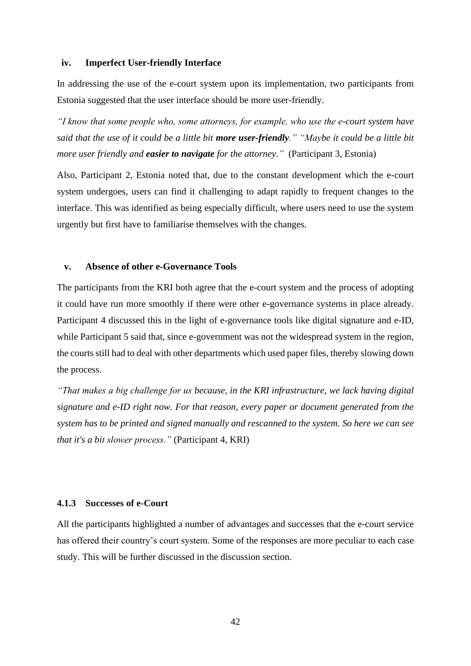### **iv. Imperfect User-friendly Interface**

In addressing the use of the e-court system upon its implementation, two participants from Estonia suggested that the user interface should be more user-friendly.

*"I know that some people who, some attorneys, for example, who use the e-court system have said that the use of it could be a little bit more user-friendly." "Maybe it could be a little bit more user friendly and easier to navigate for the attorney."* (Participant 3, Estonia)

Also, Participant 2, Estonia noted that, due to the constant development which the e-court system undergoes, users can find it challenging to adapt rapidly to frequent changes to the interface. This was identified as being especially difficult, where users need to use the system urgently but first have to familiarise themselves with the changes.

### **v. Absence of other e-Governance Tools**

The participants from the KRI both agree that the e-court system and the process of adopting it could have run more smoothly if there were other e-governance systems in place already. Participant 4 discussed this in the light of e-governance tools like digital signature and e-ID, while Participant 5 said that, since e-government was not the widespread system in the region, the courts still had to deal with other departments which used paper files, thereby slowing down the process.

*"That makes a big challenge for us because, in the KRI infrastructure, we lack having digital signature and e-ID right now. For that reason, every paper or document generated from the system has to be printed and signed manually and rescanned to the system. So here we can see that it's a bit slower process."* (Participant 4, KRI)

## <span id="page-41-0"></span>**4.1.3 Successes of e-Court**

All the participants highlighted a number of advantages and successes that the e-court service has offered their country's court system. Some of the responses are more peculiar to each case study. This will be further discussed in the discussion section.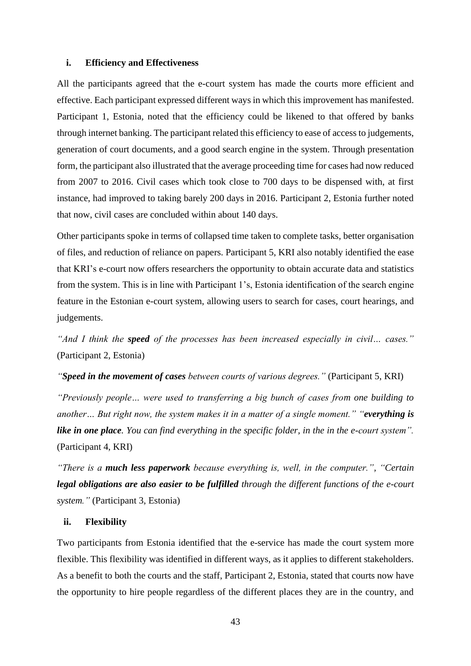## **i. Efficiency and Effectiveness**

All the participants agreed that the e-court system has made the courts more efficient and effective. Each participant expressed different ways in which this improvement has manifested. Participant 1, Estonia, noted that the efficiency could be likened to that offered by banks through internet banking. The participant related this efficiency to ease of access to judgements, generation of court documents, and a good search engine in the system. Through presentation form, the participant also illustrated that the average proceeding time for cases had now reduced from 2007 to 2016. Civil cases which took close to 700 days to be dispensed with, at first instance, had improved to taking barely 200 days in 2016. Participant 2, Estonia further noted that now, civil cases are concluded within about 140 days.

Other participants spoke in terms of collapsed time taken to complete tasks, better organisation of files, and reduction of reliance on papers. Participant 5, KRI also notably identified the ease that KRI's e-court now offers researchers the opportunity to obtain accurate data and statistics from the system. This is in line with Participant 1's, Estonia identification of the search engine feature in the Estonian e-court system, allowing users to search for cases, court hearings, and judgements.

*"And I think the speed of the processes has been increased especially in civil… cases."* (Participant 2, Estonia)

*"Speed in the movement of cases between courts of various degrees."* (Participant 5, KRI)

*"Previously people… were used to transferring a big bunch of cases from one building to another… But right now, the system makes it in a matter of a single moment." "everything is like in one place. You can find everything in the specific folder, in the in the e-court system".* (Participant 4, KRI)

*"There is a much less paperwork because everything is, well, in the computer.", "Certain legal obligations are also easier to be fulfilled through the different functions of the e-court system."* (Participant 3, Estonia)

#### **ii. Flexibility**

Two participants from Estonia identified that the e-service has made the court system more flexible. This flexibility was identified in different ways, as it applies to different stakeholders. As a benefit to both the courts and the staff, Participant 2, Estonia, stated that courts now have the opportunity to hire people regardless of the different places they are in the country, and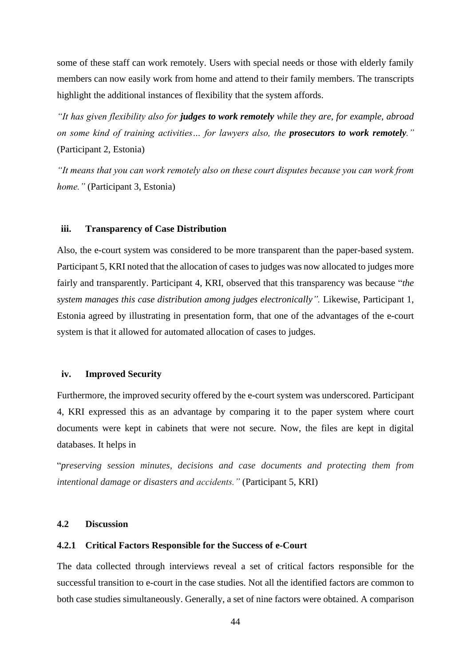some of these staff can work remotely. Users with special needs or those with elderly family members can now easily work from home and attend to their family members. The transcripts highlight the additional instances of flexibility that the system affords.

*"It has given flexibility also for judges to work remotely while they are, for example, abroad on some kind of training activities… for lawyers also, the prosecutors to work remotely."*  (Participant 2, Estonia)

*"It means that you can work remotely also on these court disputes because you can work from home."* (Participant 3, Estonia)

#### **iii. Transparency of Case Distribution**

Also, the e-court system was considered to be more transparent than the paper-based system. Participant 5, KRI noted that the allocation of cases to judges was now allocated to judges more fairly and transparently. Participant 4, KRI, observed that this transparency was because "*the system manages this case distribution among judges electronically".* Likewise, Participant 1, Estonia agreed by illustrating in presentation form, that one of the advantages of the e-court system is that it allowed for automated allocation of cases to judges.

#### **iv. Improved Security**

Furthermore, the improved security offered by the e-court system was underscored. Participant 4, KRI expressed this as an advantage by comparing it to the paper system where court documents were kept in cabinets that were not secure. Now, the files are kept in digital databases. It helps in

"*preserving session minutes, decisions and case documents and protecting them from intentional damage or disasters and accidents."* (Participant 5, KRI)

## <span id="page-43-0"></span>**4.2 Discussion**

## <span id="page-43-1"></span>**4.2.1 Critical Factors Responsible for the Success of e-Court**

The data collected through interviews reveal a set of critical factors responsible for the successful transition to e-court in the case studies. Not all the identified factors are common to both case studies simultaneously. Generally, a set of nine factors were obtained. A comparison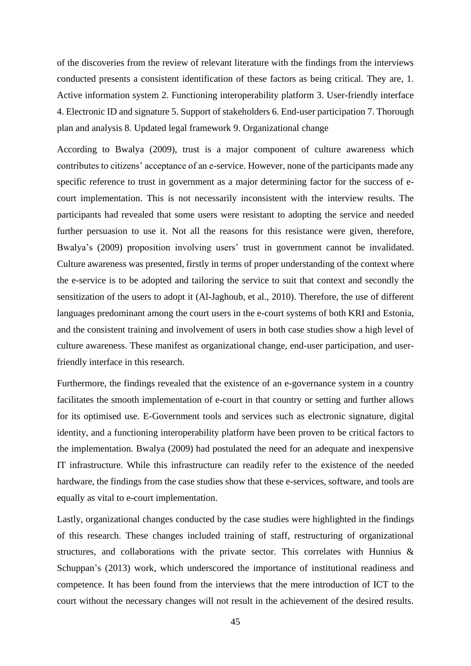of the discoveries from the review of relevant literature with the findings from the interviews conducted presents a consistent identification of these factors as being critical. They are, 1. Active information system 2. Functioning interoperability platform 3. User-friendly interface 4. Electronic ID and signature 5. Support of stakeholders 6. End-user participation 7. Thorough plan and analysis 8. Updated legal framework 9. Organizational change

According to Bwalya (2009), trust is a major component of culture awareness which contributes to citizens' acceptance of an e-service. However, none of the participants made any specific reference to trust in government as a major determining factor for the success of ecourt implementation. This is not necessarily inconsistent with the interview results. The participants had revealed that some users were resistant to adopting the service and needed further persuasion to use it. Not all the reasons for this resistance were given, therefore, Bwalya's (2009) proposition involving users' trust in government cannot be invalidated. Culture awareness was presented, firstly in terms of proper understanding of the context where the e-service is to be adopted and tailoring the service to suit that context and secondly the sensitization of the users to adopt it (Al-Jaghoub, et al., 2010). Therefore, the use of different languages predominant among the court users in the e-court systems of both KRI and Estonia, and the consistent training and involvement of users in both case studies show a high level of culture awareness. These manifest as organizational change, end-user participation, and userfriendly interface in this research.

Furthermore, the findings revealed that the existence of an e-governance system in a country facilitates the smooth implementation of e-court in that country or setting and further allows for its optimised use. E-Government tools and services such as electronic signature, digital identity, and a functioning interoperability platform have been proven to be critical factors to the implementation. Bwalya (2009) had postulated the need for an adequate and inexpensive IT infrastructure. While this infrastructure can readily refer to the existence of the needed hardware, the findings from the case studies show that these e-services, software, and tools are equally as vital to e-court implementation.

Lastly, organizational changes conducted by the case studies were highlighted in the findings of this research. These changes included training of staff, restructuring of organizational structures, and collaborations with the private sector. This correlates with Hunnius  $\&$ Schuppan's (2013) work, which underscored the importance of institutional readiness and competence. It has been found from the interviews that the mere introduction of ICT to the court without the necessary changes will not result in the achievement of the desired results.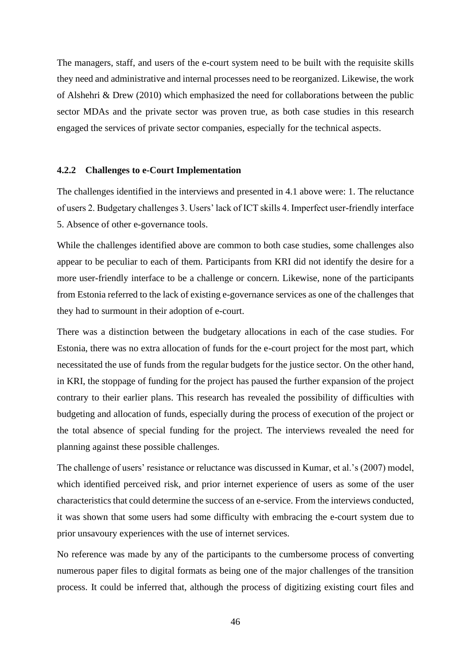The managers, staff, and users of the e-court system need to be built with the requisite skills they need and administrative and internal processes need to be reorganized. Likewise, the work of Alshehri & Drew (2010) which emphasized the need for collaborations between the public sector MDAs and the private sector was proven true, as both case studies in this research engaged the services of private sector companies, especially for the technical aspects.

## <span id="page-45-0"></span>**4.2.2 Challenges to e-Court Implementation**

The challenges identified in the interviews and presented in 4.1 above were: 1. The reluctance of users 2. Budgetary challenges 3. Users' lack of ICT skills 4. Imperfect user-friendly interface 5. Absence of other e-governance tools.

While the challenges identified above are common to both case studies, some challenges also appear to be peculiar to each of them. Participants from KRI did not identify the desire for a more user-friendly interface to be a challenge or concern. Likewise, none of the participants from Estonia referred to the lack of existing e-governance services as one of the challenges that they had to surmount in their adoption of e-court.

There was a distinction between the budgetary allocations in each of the case studies. For Estonia, there was no extra allocation of funds for the e-court project for the most part, which necessitated the use of funds from the regular budgets for the justice sector. On the other hand, in KRI, the stoppage of funding for the project has paused the further expansion of the project contrary to their earlier plans. This research has revealed the possibility of difficulties with budgeting and allocation of funds, especially during the process of execution of the project or the total absence of special funding for the project. The interviews revealed the need for planning against these possible challenges.

The challenge of users' resistance or reluctance was discussed in Kumar, et al.'s (2007) model, which identified perceived risk, and prior internet experience of users as some of the user characteristics that could determine the success of an e-service. From the interviews conducted, it was shown that some users had some difficulty with embracing the e-court system due to prior unsavoury experiences with the use of internet services.

No reference was made by any of the participants to the cumbersome process of converting numerous paper files to digital formats as being one of the major challenges of the transition process. It could be inferred that, although the process of digitizing existing court files and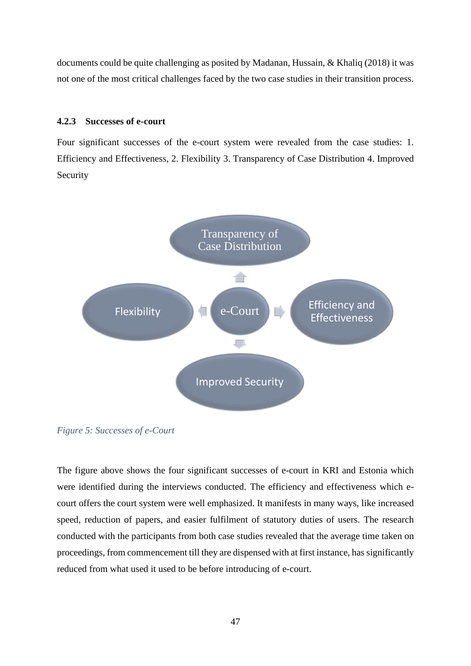documents could be quite challenging as posited by Madanan, Hussain, & Khaliq (2018) it was not one of the most critical challenges faced by the two case studies in their transition process.

## <span id="page-46-0"></span>**4.2.3 Successes of e-court**

Four significant successes of the e-court system were revealed from the case studies: 1. Efficiency and Effectiveness, 2. Flexibility 3. Transparency of Case Distribution 4. Improved Security



*Figure 5: Successes of e-Court*

The figure above shows the four significant successes of e-court in KRI and Estonia which were identified during the interviews conducted. The efficiency and effectiveness which ecourt offers the court system were well emphasized. It manifests in many ways, like increased speed, reduction of papers, and easier fulfilment of statutory duties of users. The research conducted with the participants from both case studies revealed that the average time taken on proceedings, from commencement till they are dispensed with at first instance, has significantly reduced from what used it used to be before introducing of e-court.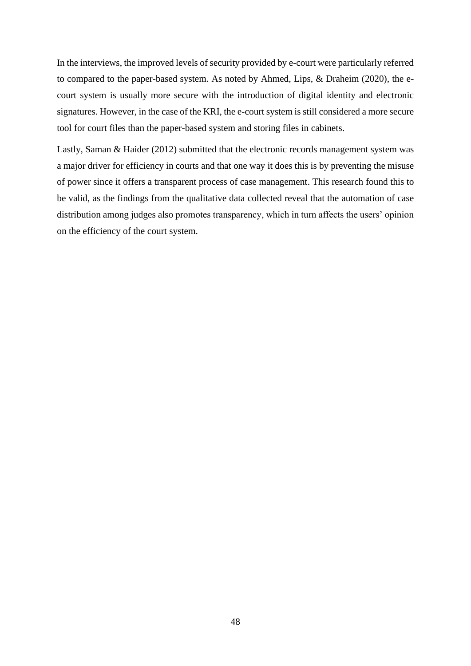In the interviews, the improved levels of security provided by e-court were particularly referred to compared to the paper-based system. As noted by Ahmed, Lips, & Draheim (2020), the ecourt system is usually more secure with the introduction of digital identity and electronic signatures. However, in the case of the KRI, the e-court system is still considered a more secure tool for court files than the paper-based system and storing files in cabinets.

Lastly, Saman & Haider (2012) submitted that the electronic records management system was a major driver for efficiency in courts and that one way it does this is by preventing the misuse of power since it offers a transparent process of case management. This research found this to be valid, as the findings from the qualitative data collected reveal that the automation of case distribution among judges also promotes transparency, which in turn affects the users' opinion on the efficiency of the court system.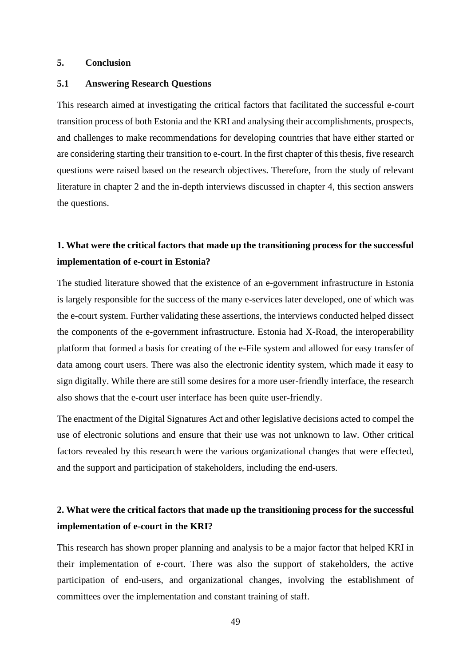## <span id="page-48-0"></span>**5. Conclusion**

## <span id="page-48-1"></span>**5.1 Answering Research Questions**

This research aimed at investigating the critical factors that facilitated the successful e-court transition process of both Estonia and the KRI and analysing their accomplishments, prospects, and challenges to make recommendations for developing countries that have either started or are considering starting their transition to e-court. In the first chapter of this thesis, five research questions were raised based on the research objectives. Therefore, from the study of relevant literature in chapter 2 and the in-depth interviews discussed in chapter 4, this section answers the questions.

## **1. What were the critical factors that made up the transitioning process for the successful implementation of e-court in Estonia?**

The studied literature showed that the existence of an e-government infrastructure in Estonia is largely responsible for the success of the many e-services later developed, one of which was the e-court system. Further validating these assertions, the interviews conducted helped dissect the components of the e-government infrastructure. Estonia had X-Road, the interoperability platform that formed a basis for creating of the e-File system and allowed for easy transfer of data among court users. There was also the electronic identity system, which made it easy to sign digitally. While there are still some desires for a more user-friendly interface, the research also shows that the e-court user interface has been quite user-friendly.

The enactment of the Digital Signatures Act and other legislative decisions acted to compel the use of electronic solutions and ensure that their use was not unknown to law. Other critical factors revealed by this research were the various organizational changes that were effected, and the support and participation of stakeholders, including the end-users.

## **2. What were the critical factors that made up the transitioning process for the successful implementation of e-court in the KRI?**

This research has shown proper planning and analysis to be a major factor that helped KRI in their implementation of e-court. There was also the support of stakeholders, the active participation of end-users, and organizational changes, involving the establishment of committees over the implementation and constant training of staff.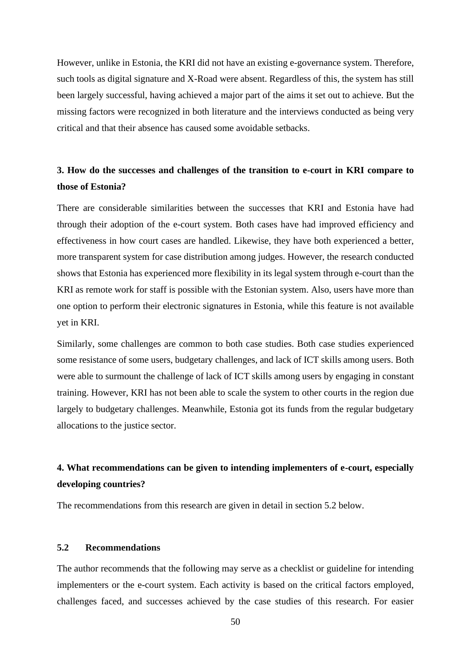However, unlike in Estonia, the KRI did not have an existing e-governance system. Therefore, such tools as digital signature and X-Road were absent. Regardless of this, the system has still been largely successful, having achieved a major part of the aims it set out to achieve. But the missing factors were recognized in both literature and the interviews conducted as being very critical and that their absence has caused some avoidable setbacks.

## **3. How do the successes and challenges of the transition to e-court in KRI compare to those of Estonia?**

There are considerable similarities between the successes that KRI and Estonia have had through their adoption of the e-court system. Both cases have had improved efficiency and effectiveness in how court cases are handled. Likewise, they have both experienced a better, more transparent system for case distribution among judges. However, the research conducted shows that Estonia has experienced more flexibility in its legal system through e-court than the KRI as remote work for staff is possible with the Estonian system. Also, users have more than one option to perform their electronic signatures in Estonia, while this feature is not available yet in KRI.

Similarly, some challenges are common to both case studies. Both case studies experienced some resistance of some users, budgetary challenges, and lack of ICT skills among users. Both were able to surmount the challenge of lack of ICT skills among users by engaging in constant training. However, KRI has not been able to scale the system to other courts in the region due largely to budgetary challenges. Meanwhile, Estonia got its funds from the regular budgetary allocations to the justice sector.

## **4. What recommendations can be given to intending implementers of e-court, especially developing countries?**

The recommendations from this research are given in detail in section 5.2 below.

## <span id="page-49-0"></span>**5.2 Recommendations**

The author recommends that the following may serve as a checklist or guideline for intending implementers or the e-court system. Each activity is based on the critical factors employed, challenges faced, and successes achieved by the case studies of this research. For easier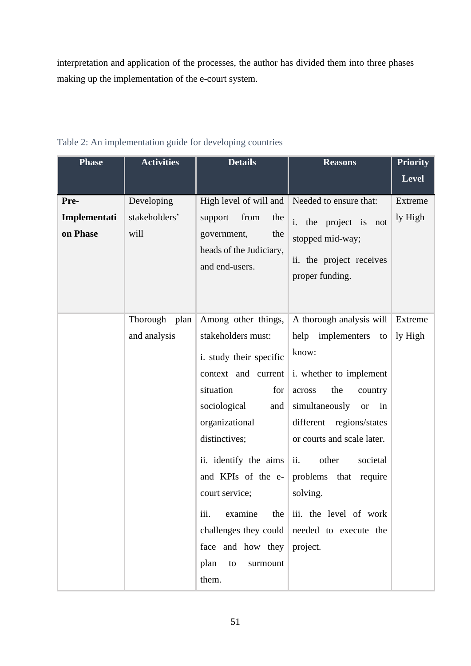interpretation and application of the processes, the author has divided them into three phases making up the implementation of the e-court system.

| <b>Phase</b>                     | <b>Activities</b>                   | <b>Details</b>                                                                                                                                                                                                                                                                                          | <b>Reasons</b>                                                                                                                                                                                                                                                                                                                                                                                                 | <b>Priority</b>    |
|----------------------------------|-------------------------------------|---------------------------------------------------------------------------------------------------------------------------------------------------------------------------------------------------------------------------------------------------------------------------------------------------------|----------------------------------------------------------------------------------------------------------------------------------------------------------------------------------------------------------------------------------------------------------------------------------------------------------------------------------------------------------------------------------------------------------------|--------------------|
|                                  |                                     |                                                                                                                                                                                                                                                                                                         |                                                                                                                                                                                                                                                                                                                                                                                                                | <b>Level</b>       |
| Pre-<br>Implementati<br>on Phase | Developing<br>stakeholders'<br>will | High level of will and<br>from<br>support<br>the<br>government,<br>the<br>heads of the Judiciary,<br>and end-users.                                                                                                                                                                                     | Needed to ensure that:<br>i. the project is not<br>stopped mid-way;<br>ii. the project receives<br>proper funding.                                                                                                                                                                                                                                                                                             | Extreme<br>ly High |
|                                  | Thorough plan<br>and analysis       | Among other things,<br>stakeholders must:<br>i. study their specific<br>context and current<br>situation<br>for<br>sociological<br>and<br>organizational<br>distinctives;<br>ii. identify the aims $\vert$<br>court service;<br>iii.<br>examine<br>face and how they<br>plan<br>to<br>surmount<br>them. | A thorough analysis will<br>help implementers<br>to<br>know:<br>i. whether to implement<br>the<br>across<br>country<br>simultaneously<br><b>or</b><br>$\sin$<br>different<br>regions/states<br>or courts and scale later.<br>ii.<br>other<br>societal<br>and KPIs of the e- problems that require<br>solving.<br>the $\vert$ iii. the level of work<br>challenges they could needed to execute the<br>project. | Extreme<br>ly High |

## <span id="page-50-0"></span>Table 2: An implementation guide for developing countries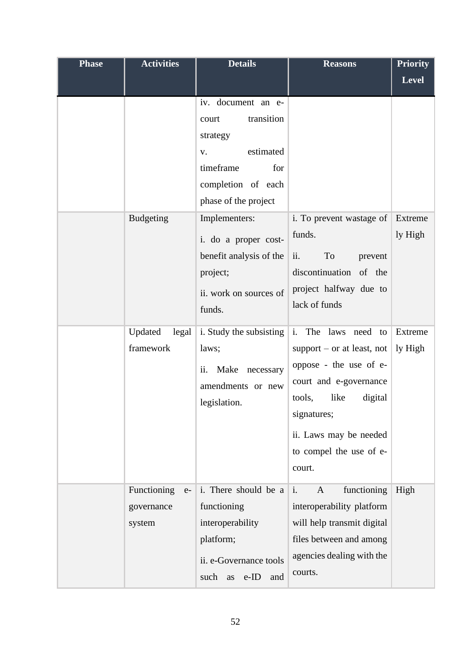| <b>Phase</b> | <b>Activities</b>                           | <b>Details</b>                                                                                                                             | <b>Reasons</b>                                                                                                                                                                                    | <b>Priority</b>    |
|--------------|---------------------------------------------|--------------------------------------------------------------------------------------------------------------------------------------------|---------------------------------------------------------------------------------------------------------------------------------------------------------------------------------------------------|--------------------|
|              |                                             |                                                                                                                                            |                                                                                                                                                                                                   | <b>Level</b>       |
|              |                                             | iv. document an e-<br>transition<br>court<br>strategy<br>estimated<br>V.<br>timeframe<br>for<br>completion of each<br>phase of the project |                                                                                                                                                                                                   |                    |
|              | <b>Budgeting</b>                            | Implementers:<br>i. do a proper cost-<br>benefit analysis of the<br>project;<br>ii. work on sources of<br>funds.                           | i. To prevent wastage of<br>funds.<br>To<br>ii.<br>prevent<br>discontinuation of the<br>project halfway due to<br>lack of funds                                                                   | Extreme<br>ly High |
|              | Updated<br>framework                        | legal   i. Study the subsisting $\vert$ i. The laws need<br>laws;<br>Make necessary<br>ii.<br>amendments or new<br>legislation.            | to<br>support $-$ or at least, not<br>oppose - the use of e-<br>court and e-governance<br>tools,<br>like<br>digital<br>signatures;<br>ii. Laws may be needed<br>to compel the use of e-<br>court. | Extreme<br>ly High |
|              | Functioning<br>$e-$<br>governance<br>system | i. There should be a $\vert$ i.<br>functioning<br>interoperability<br>platform;<br>ii. e-Governance tools<br>such as e-ID<br>and           | functioning<br>A<br>interoperability platform<br>will help transmit digital<br>files between and among<br>agencies dealing with the<br>courts.                                                    | High               |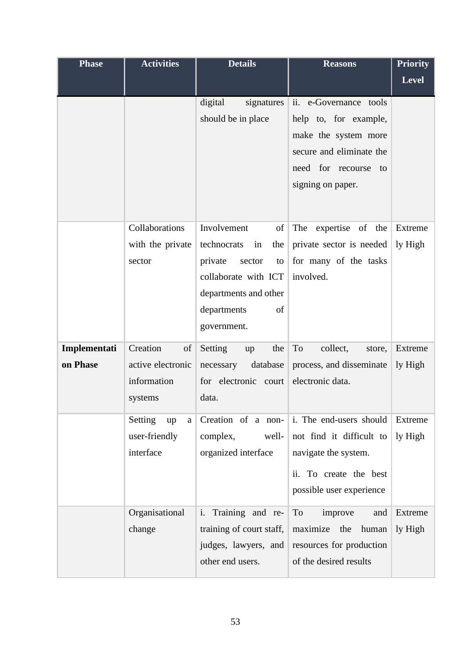| <b>Phase</b>             | <b>Activities</b>                                             | <b>Details</b>                                                                                                                                                | <b>Reasons</b>                                                                                                                                   | <b>Priority</b>    |
|--------------------------|---------------------------------------------------------------|---------------------------------------------------------------------------------------------------------------------------------------------------------------|--------------------------------------------------------------------------------------------------------------------------------------------------|--------------------|
|                          |                                                               |                                                                                                                                                               |                                                                                                                                                  | <b>Level</b>       |
|                          |                                                               | digital<br>signatures<br>should be in place                                                                                                                   | ii. e-Governance tools<br>help to, for example,<br>make the system more<br>secure and eliminate the<br>need for recourse to<br>signing on paper. |                    |
|                          | Collaborations<br>with the private<br>sector                  | Involvement<br>of<br>technocrats<br>in<br>the<br>private<br>sector<br>to<br>collaborate with ICT<br>departments and other<br>departments<br>of<br>government. | The<br>expertise<br>of the<br>private sector is needed<br>for many of the tasks<br>involved.                                                     | Extreme<br>ly High |
| Implementati<br>on Phase | Creation<br>of<br>active electronic<br>information<br>systems | Setting<br>the<br>up<br>necessary<br>database<br>for electronic court<br>data.                                                                                | To<br>collect,<br>store,<br>process, and disseminate<br>electronic data.                                                                         | Extreme<br>ly High |
|                          | Setting<br>up<br>a<br>user-friendly<br>interface              | Creation of a non-<br>complex,<br>well-<br>organized interface                                                                                                | i. The end-users should<br>not find it difficult to<br>navigate the system.<br>ii. To create the best<br>possible user experience                | Extreme<br>ly High |
|                          | Organisational<br>change                                      | Training and re-<br>i.<br>training of court staff,<br>judges, lawyers, and<br>other end users.                                                                | To<br>improve<br>and<br>maximize the<br>human<br>resources for production<br>of the desired results                                              | Extreme<br>ly High |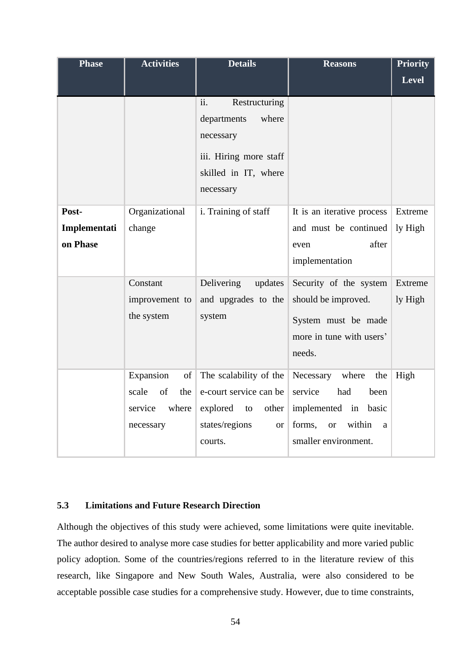| <b>Phase</b> | <b>Activities</b>  | <b>Details</b>              | <b>Reasons</b>                     | <b>Priority</b> |
|--------------|--------------------|-----------------------------|------------------------------------|-----------------|
|              |                    |                             |                                    | <b>Level</b>    |
|              |                    | ii.<br>Restructuring        |                                    |                 |
|              |                    | departments<br>where        |                                    |                 |
|              |                    | necessary                   |                                    |                 |
|              |                    |                             |                                    |                 |
|              |                    | iii. Hiring more staff      |                                    |                 |
|              |                    | skilled in IT, where        |                                    |                 |
|              |                    | necessary                   |                                    |                 |
| Post-        | Organizational     | i. Training of staff        | It is an iterative process         | Extreme         |
| Implementati | change             |                             | and must be continued              | ly High         |
| on Phase     |                    |                             | after<br>even                      |                 |
|              |                    |                             | implementation                     |                 |
|              | Constant           | Delivering<br>updates       | Security of the system             | Extreme         |
|              | improvement to     | and upgrades to the         | should be improved.                | ly High         |
|              | the system         | system                      | System must be made                |                 |
|              |                    |                             | more in tune with users'           |                 |
|              |                    |                             | needs.                             |                 |
|              |                    |                             |                                    |                 |
|              | Expansion<br>of    | The scalability of the      | Necessary where<br>the             | High            |
|              | of<br>scale<br>the | e-court service can be      | service<br>had<br>been             |                 |
|              | where<br>service   | explored to<br>other        | implemented in basic               |                 |
|              | necessary          | states/regions<br><b>or</b> | within<br>forms,<br><b>or</b><br>a |                 |
|              |                    | courts.                     | smaller environment.               |                 |

## <span id="page-53-0"></span>**5.3 Limitations and Future Research Direction**

Although the objectives of this study were achieved, some limitations were quite inevitable. The author desired to analyse more case studies for better applicability and more varied public policy adoption. Some of the countries/regions referred to in the literature review of this research, like Singapore and New South Wales, Australia, were also considered to be acceptable possible case studies for a comprehensive study. However, due to time constraints,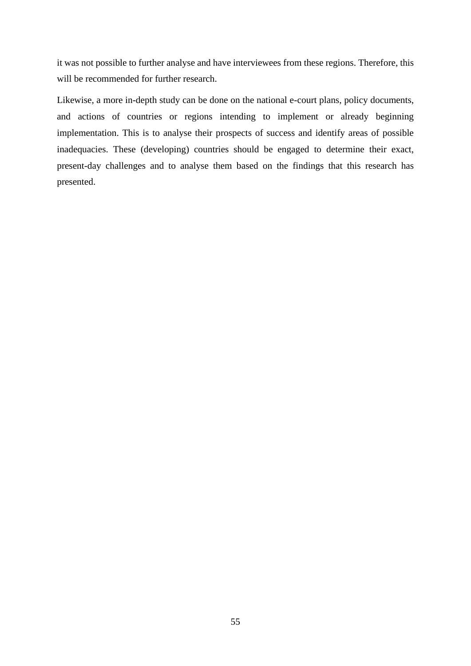it was not possible to further analyse and have interviewees from these regions. Therefore, this will be recommended for further research.

Likewise, a more in-depth study can be done on the national e-court plans, policy documents, and actions of countries or regions intending to implement or already beginning implementation. This is to analyse their prospects of success and identify areas of possible inadequacies. These (developing) countries should be engaged to determine their exact, present-day challenges and to analyse them based on the findings that this research has presented.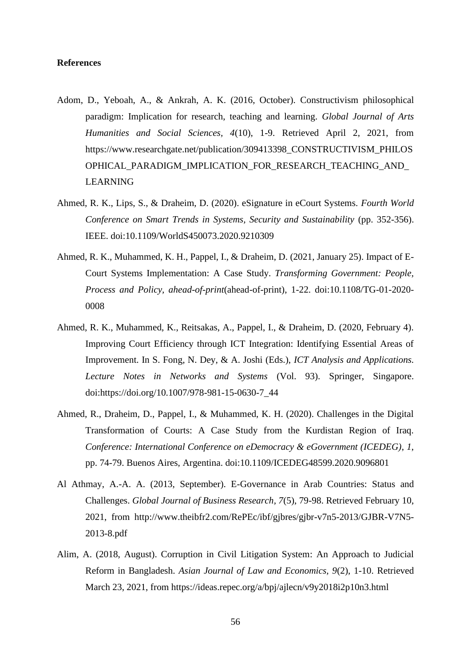## <span id="page-55-0"></span>**References**

- Adom, D., Yeboah, A., & Ankrah, A. K. (2016, October). Constructivism philosophical paradigm: Implication for research, teaching and learning. *Global Journal of Arts Humanities and Social Sciences, 4*(10), 1-9. Retrieved April 2, 2021, from https://www.researchgate.net/publication/309413398\_CONSTRUCTIVISM\_PHILOS OPHICAL\_PARADIGM\_IMPLICATION\_FOR\_RESEARCH\_TEACHING\_AND\_ LEARNING
- Ahmed, R. K., Lips, S., & Draheim, D. (2020). eSignature in eCourt Systems. *Fourth World Conference on Smart Trends in Systems, Security and Sustainability* (pp. 352-356). IEEE. doi:10.1109/WorldS450073.2020.9210309
- Ahmed, R. K., Muhammed, K. H., Pappel, I., & Draheim, D. (2021, January 25). Impact of E-Court Systems Implementation: A Case Study. *Transforming Government: People, Process and Policy, ahead-of-print*(ahead-of-print), 1-22. doi:10.1108/TG-01-2020- 0008
- Ahmed, R. K., Muhammed, K., Reitsakas, A., Pappel, I., & Draheim, D. (2020, February 4). Improving Court Efficiency through ICT Integration: Identifying Essential Areas of Improvement. In S. Fong, N. Dey, & A. Joshi (Eds.), *ICT Analysis and Applications. Lecture Notes in Networks and Systems* (Vol. 93). Springer, Singapore. doi:https://doi.org/10.1007/978-981-15-0630-7\_44
- Ahmed, R., Draheim, D., Pappel, I., & Muhammed, K. H. (2020). Challenges in the Digital Transformation of Courts: A Case Study from the Kurdistan Region of Iraq. *Conference: International Conference on eDemocracy & eGovernment (ICEDEG)*, *1*, pp. 74-79. Buenos Aires, Argentina. doi:10.1109/ICEDEG48599.2020.9096801
- Al Athmay, A.-A. A. (2013, September). E-Governance in Arab Countries: Status and Challenges. *Global Journal of Business Research, 7*(5), 79-98. Retrieved February 10, 2021, from http://www.theibfr2.com/RePEc/ibf/gjbres/gjbr-v7n5-2013/GJBR-V7N5- 2013-8.pdf
- Alim, A. (2018, August). Corruption in Civil Litigation System: An Approach to Judicial Reform in Bangladesh. *Asian Journal of Law and Economics, 9*(2), 1-10. Retrieved March 23, 2021, from https://ideas.repec.org/a/bpj/ajlecn/v9y2018i2p10n3.html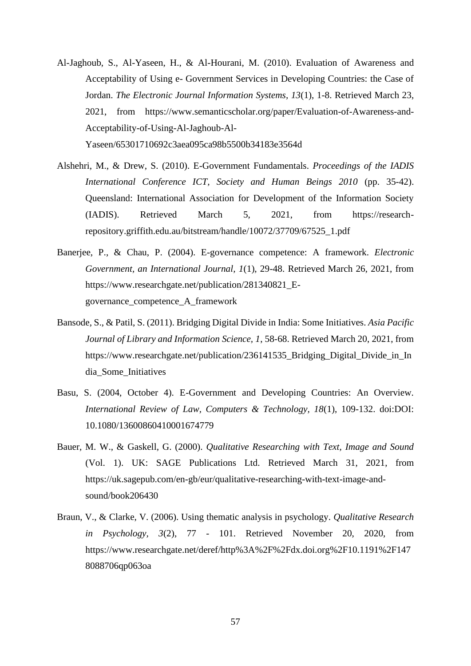- Al-Jaghoub, S., Al-Yaseen, H., & Al-Hourani, M. (2010). Evaluation of Awareness and Acceptability of Using e- Government Services in Developing Countries: the Case of Jordan. *The Electronic Journal Information Systems, 13*(1), 1-8. Retrieved March 23, 2021, from https://www.semanticscholar.org/paper/Evaluation-of-Awareness-and-Acceptability-of-Using-Al-Jaghoub-Al-Yaseen/65301710692c3aea095ca98b5500b34183e3564d
- Alshehri, M., & Drew, S. (2010). E-Government Fundamentals. *Proceedings of the IADIS International Conference ICT, Society and Human Beings 2010* (pp. 35-42). Queensland: International Association for Development of the Information Society (IADIS). Retrieved March 5, 2021, from https://researchrepository.griffith.edu.au/bitstream/handle/10072/37709/67525\_1.pdf
- Banerjee, P., & Chau, P. (2004). E-governance competence: A framework. *Electronic Government, an International Journal, 1*(1), 29-48. Retrieved March 26, 2021, from https://www.researchgate.net/publication/281340821\_Egovernance\_competence\_A\_framework
- Bansode, S., & Patil, S. (2011). Bridging Digital Divide in India: Some Initiatives. *Asia Pacific Journal of Library and Information Science, 1*, 58-68. Retrieved March 20, 2021, from https://www.researchgate.net/publication/236141535 Bridging Digital Divide in In dia\_Some\_Initiatives
- Basu, S. (2004, October 4). E-Government and Developing Countries: An Overview. *International Review of Law, Computers & Technology, 18*(1), 109-132. doi:DOI: 10.1080/13600860410001674779
- Bauer, M. W., & Gaskell, G. (2000). *Qualitative Researching with Text, Image and Sound* (Vol. 1). UK: SAGE Publications Ltd. Retrieved March 31, 2021, from https://uk.sagepub.com/en-gb/eur/qualitative-researching-with-text-image-andsound/book206430
- Braun, V., & Clarke, V. (2006). Using thematic analysis in psychology. *Qualitative Research in Psychology, 3*(2), 77 - 101. Retrieved November 20, 2020, from https://www.researchgate.net/deref/http%3A%2F%2Fdx.doi.org%2F10.1191%2F147 8088706qp063oa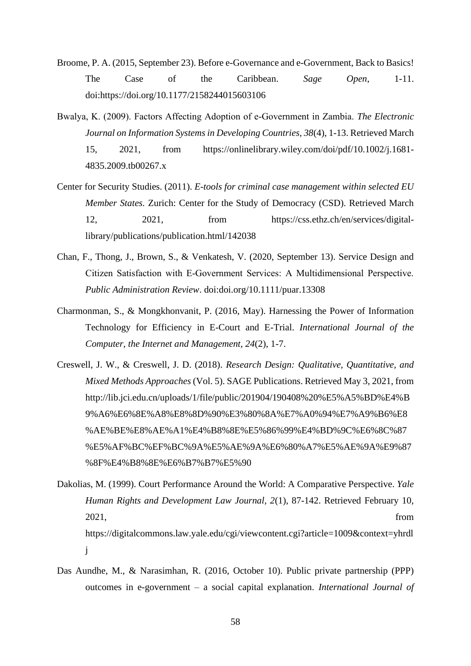- Broome, P. A. (2015, September 23). Before e-Governance and e-Government, Back to Basics! The Case of the Caribbean. *Sage Open*, 1-11. doi:https://doi.org/10.1177/2158244015603106
- Bwalya, K. (2009). Factors Affecting Adoption of e‐Government in Zambia. *The Electronic Journal on Information Systems in Developing Countries, 38*(4), 1-13. Retrieved March 15, 2021, from https://onlinelibrary.wiley.com/doi/pdf/10.1002/j.1681- 4835.2009.tb00267.x
- Center for Security Studies. (2011). *E-tools for criminal case management within selected EU Member States.* Zurich: Center for the Study of Democracy (CSD). Retrieved March 12, 2021, from https://css.ethz.ch/en/services/digitallibrary/publications/publication.html/142038
- Chan, F., Thong, J., Brown, S., & Venkatesh, V. (2020, September 13). Service Design and Citizen Satisfaction with E‐Government Services: A Multidimensional Perspective. *Public Administration Review*. doi:doi.org/10.1111/puar.13308
- Charmonman, S., & Mongkhonvanit, P. (2016, May). Harnessing the Power of Information Technology for Efficiency in E-Court and E-Trial. *International Journal of the Computer, the Internet and Management, 24*(2), 1-7.
- Creswell, J. W., & Creswell, J. D. (2018). *Research Design: Qualitative, Quantitative, and Mixed Methods Approaches* (Vol. 5). SAGE Publications. Retrieved May 3, 2021, from http://lib.jci.edu.cn/uploads/1/file/public/201904/190408%20%E5%A5%BD%E4%B 9%A6%E6%8E%A8%E8%8D%90%E3%80%8A%E7%A0%94%E7%A9%B6%E8 %AE%BE%E8%AE%A1%E4%B8%8E%E5%86%99%E4%BD%9C%E6%8C%87 %E5%AF%BC%EF%BC%9A%E5%AE%9A%E6%80%A7%E5%AE%9A%E9%87 %8F%E4%B8%8E%E6%B7%B7%E5%90
- Dakolias, M. (1999). Court Performance Around the World: A Comparative Perspective. *Yale Human Rights and Development Law Journal, 2*(1), 87-142. Retrieved February 10, 2021, from https://digitalcommons.law.yale.edu/cgi/viewcontent.cgi?article=1009&context=yhrdl j
- Das Aundhe, M., & Narasimhan, R. (2016, October 10). Public private partnership (PPP) outcomes in e-government – a social capital explanation. *International Journal of*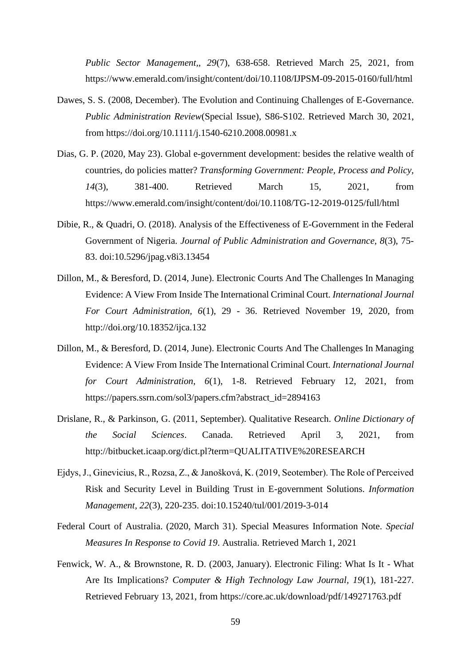*Public Sector Management,, 29*(7), 638-658. Retrieved March 25, 2021, from https://www.emerald.com/insight/content/doi/10.1108/IJPSM-09-2015-0160/full/html

- Dawes, S. S. (2008, December). The Evolution and Continuing Challenges of E-Governance. *Public Administration Review*(Special Issue), S86-S102. Retrieved March 30, 2021, from https://doi.org/10.1111/j.1540-6210.2008.00981.x
- Dias, G. P. (2020, May 23). Global e-government development: besides the relative wealth of countries, do policies matter? *Transforming Government: People, Process and Policy, 14*(3), 381-400. Retrieved March 15, 2021, from https://www.emerald.com/insight/content/doi/10.1108/TG-12-2019-0125/full/html
- Dibie, R., & Quadri, O. (2018). Analysis of the Effectiveness of E-Government in the Federal Government of Nigeria. *Journal of Public Administration and Governance, 8*(3), 75- 83. doi:10.5296/jpag.v8i3.13454
- Dillon, M., & Beresford, D. (2014, June). Electronic Courts And The Challenges In Managing Evidence: A View From Inside The International Criminal Court. *International Journal For Court Administration, 6*(1), 29 - 36. Retrieved November 19, 2020, from http://doi.org/10.18352/ijca.132
- Dillon, M., & Beresford, D. (2014, June). Electronic Courts And The Challenges In Managing Evidence: A View From Inside The International Criminal Court. *International Journal for Court Administration, 6*(1), 1-8. Retrieved February 12, 2021, from https://papers.ssrn.com/sol3/papers.cfm?abstract\_id=2894163
- Drislane, R., & Parkinson, G. (2011, September). Qualitative Research. *Online Dictionary of the Social Sciences*. Canada. Retrieved April 3, 2021, from http://bitbucket.icaap.org/dict.pl?term=QUALITATIVE%20RESEARCH
- Ejdys, J., Ginevicius, R., Rozsa, Z., & Janošková, K. (2019, Seotember). The Role of Perceived Risk and Security Level in Building Trust in E-government Solutions. *Information Management, 22*(3), 220-235. doi:10.15240/tul/001/2019-3-014
- Federal Court of Australia. (2020, March 31). Special Measures Information Note. *Special Measures In Response to Covid 19*. Australia. Retrieved March 1, 2021
- Fenwick, W. A., & Brownstone, R. D. (2003, January). Electronic Filing: What Is It What Are Its Implications? *Computer & High Technology Law Journal, 19*(1), 181-227. Retrieved February 13, 2021, from https://core.ac.uk/download/pdf/149271763.pdf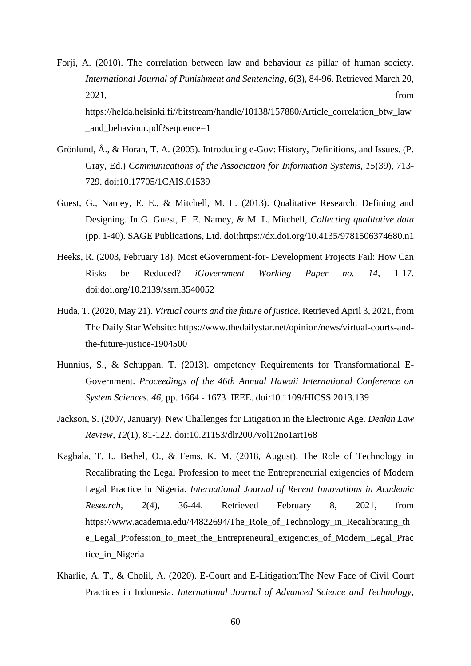- Forji, A. (2010). The correlation between law and behaviour as pillar of human society. *International Journal of Punishment and Sentencing, 6*(3), 84-96. Retrieved March 20, 2021, from https://helda.helsinki.fi//bitstream/handle/10138/157880/Article\_correlation\_btw\_law and behaviour.pdf?sequence=1
- Grönlund, Å., & Horan, T. A. (2005). Introducing e-Gov: History, Definitions, and Issues. (P. Gray, Ed.) *Communications of the Association for Information Systems, 15*(39), 713- 729. doi:10.17705/1CAIS.01539
- Guest, G., Namey, E. E., & Mitchell, M. L. (2013). Qualitative Research: Defining and Designing. In G. Guest, E. E. Namey, & M. L. Mitchell, *Collecting qualitative data* (pp. 1-40). SAGE Publications, Ltd. doi:https://dx.doi.org/10.4135/9781506374680.n1
- Heeks, R. (2003, February 18). Most eGovernment-for- Development Projects Fail: How Can Risks be Reduced? *iGovernment Working Paper no. 14*, 1-17. doi:doi.org/10.2139/ssrn.3540052
- Huda, T. (2020, May 21). *Virtual courts and the future of justice*. Retrieved April 3, 2021, from The Daily Star Website: https://www.thedailystar.net/opinion/news/virtual-courts-andthe-future-justice-1904500
- Hunnius, S., & Schuppan, T. (2013). ompetency Requirements for Transformational E-Government. *Proceedings of the 46th Annual Hawaii International Conference on System Sciences. 46*, pp. 1664 - 1673. IEEE. doi:10.1109/HICSS.2013.139
- Jackson, S. (2007, January). New Challenges for Litigation in the Electronic Age. *Deakin Law Review, 12*(1), 81-122. doi:10.21153/dlr2007vol12no1art168
- Kagbala, T. I., Bethel, O., & Fems, K. M. (2018, August). The Role of Technology in Recalibrating the Legal Profession to meet the Entrepreneurial exigencies of Modern Legal Practice in Nigeria. *International Journal of Recent Innovations in Academic Research, 2*(4), 36-44. Retrieved February 8, 2021, from https://www.academia.edu/44822694/The\_Role\_of\_Technology\_in\_Recalibrating\_th e\_Legal\_Profession\_to\_meet\_the\_Entrepreneural\_exigencies\_of\_Modern\_Legal\_Prac tice in Nigeria
- Kharlie, A. T., & Cholil, A. (2020). E-Court and E-Litigation:The New Face of Civil Court Practices in Indonesia. *International Journal of Advanced Science and Technology,*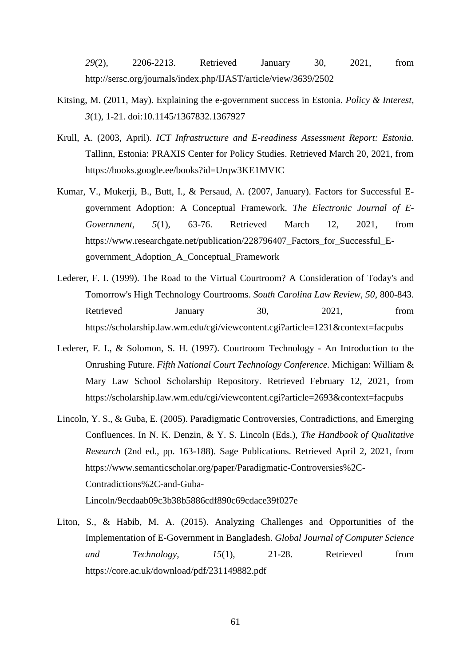*29*(2), 2206-2213. Retrieved January 30, 2021, from http://sersc.org/journals/index.php/IJAST/article/view/3639/2502

- Kitsing, M. (2011, May). Explaining the e-government success in Estonia. *Policy & Interest, 3*(1), 1-21. doi:10.1145/1367832.1367927
- Krull, A. (2003, April). *ICT Infrastructure and E-readiness Assessment Report: Estonia.* Tallinn, Estonia: PRAXIS Center for Policy Studies. Retrieved March 20, 2021, from https://books.google.ee/books?id=Urqw3KE1MVIC
- Kumar, V., Mukerji, B., Butt, I., & Persaud, A. (2007, January). Factors for Successful Egovernment Adoption: A Conceptual Framework. *The Electronic Journal of E-Government, 5*(1), 63-76. Retrieved March 12, 2021, from https://www.researchgate.net/publication/228796407 Factors for Successful Egovernment\_Adoption\_A\_Conceptual\_Framework
- Lederer, F. I. (1999). The Road to the Virtual Courtroom? A Consideration of Today's and Tomorrow's High Technology Courtrooms. *South Carolina Law Review, 50*, 800-843. Retrieved January 30, 2021, from https://scholarship.law.wm.edu/cgi/viewcontent.cgi?article=1231&context=facpubs
- Lederer, F. I., & Solomon, S. H. (1997). Courtroom Technology An Introduction to the Onrushing Future. *Fifth National Court Technology Conference.* Michigan: William & Mary Law School Scholarship Repository. Retrieved February 12, 2021, from https://scholarship.law.wm.edu/cgi/viewcontent.cgi?article=2693&context=facpubs
- Lincoln, Y. S., & Guba, E. (2005). Paradigmatic Controversies, Contradictions, and Emerging Confluences. In N. K. Denzin, & Y. S. Lincoln (Eds.), *The Handbook of Qualitative Research* (2nd ed., pp. 163-188). Sage Publications. Retrieved April 2, 2021, from https://www.semanticscholar.org/paper/Paradigmatic-Controversies%2C-Contradictions%2C-and-Guba-Lincoln/9ecdaab09c3b38b5886cdf890c69cdace39f027e
- Liton, S., & Habib, M. A. (2015). Analyzing Challenges and Opportunities of the Implementation of E-Government in Bangladesh. *Global Journal of Computer Science and Technology, 15*(1), 21-28. Retrieved from https://core.ac.uk/download/pdf/231149882.pdf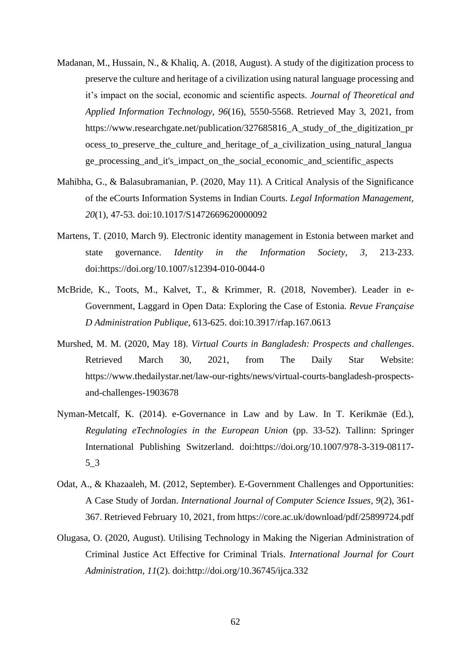- Madanan, M., Hussain, N., & Khaliq, A. (2018, August). A study of the digitization process to preserve the culture and heritage of a civilization using natural language processing and it's impact on the social, economic and scientific aspects. *Journal of Theoretical and Applied Information Technology, 96*(16), 5550-5568. Retrieved May 3, 2021, from https://www.researchgate.net/publication/327685816 A study of the digitization pr ocess\_to\_preserve\_the\_culture\_and\_heritage\_of\_a\_civilization\_using\_natural\_langua ge\_processing\_and\_it's\_impact\_on\_the\_social\_economic\_and\_scientific\_aspects
- Mahibha, G., & Balasubramanian, P. (2020, May 11). A Critical Analysis of the Significance of the eCourts Information Systems in Indian Courts. *Legal Information Management, 20*(1), 47-53. doi:10.1017/S1472669620000092
- Martens, T. (2010, March 9). Electronic identity management in Estonia between market and state governance. *Identity in the Information Society, 3*, 213-233. doi:https://doi.org/10.1007/s12394-010-0044-0
- McBride, K., Toots, M., Kalvet, T., & Krimmer, R. (2018, November). Leader in e-Government, Laggard in Open Data: Exploring the Case of Estonia. *Revue Française D Administration Publique*, 613-625. doi:10.3917/rfap.167.0613
- Murshed, M. M. (2020, May 18). *Virtual Courts in Bangladesh: Prospects and challenges*. Retrieved March 30, 2021, from The Daily Star Website: https://www.thedailystar.net/law-our-rights/news/virtual-courts-bangladesh-prospectsand-challenges-1903678
- Nyman-Metcalf, K. (2014). e-Governance in Law and by Law. In T. Kerikmäe (Ed.), *Regulating eTechnologies in the European Union* (pp. 33-52). Tallinn: Springer International Publishing Switzerland. doi:https://doi.org/10.1007/978-3-319-08117- 5\_3
- Odat, A., & Khazaaleh, M. (2012, September). E-Government Challenges and Opportunities: A Case Study of Jordan. *International Journal of Computer Science Issues, 9*(2), 361- 367. Retrieved February 10, 2021, from https://core.ac.uk/download/pdf/25899724.pdf
- Olugasa, O. (2020, August). Utilising Technology in Making the Nigerian Administration of Criminal Justice Act Effective for Criminal Trials. *International Journal for Court Administration, 11*(2). doi:http://doi.org/10.36745/ijca.332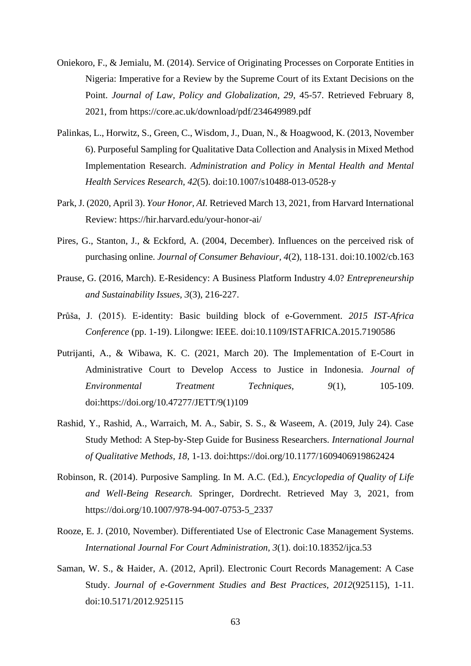- Oniekoro, F., & Jemialu, M. (2014). Service of Originating Processes on Corporate Entities in Nigeria: Imperative for a Review by the Supreme Court of its Extant Decisions on the Point. *Journal of Law, Policy and Globalization, 29*, 45-57. Retrieved February 8, 2021, from https://core.ac.uk/download/pdf/234649989.pdf
- Palinkas, L., Horwitz, S., Green, C., Wisdom, J., Duan, N., & Hoagwood, K. (2013, November 6). Purposeful Sampling for Qualitative Data Collection and Analysis in Mixed Method Implementation Research. *Administration and Policy in Mental Health and Mental Health Services Research, 42*(5). doi:10.1007/s10488-013-0528-y
- Park, J. (2020, April 3). *Your Honor, AI.* Retrieved March 13, 2021, from Harvard International Review: https://hir.harvard.edu/your-honor-ai/
- Pires, G., Stanton, J., & Eckford, A. (2004, December). Influences on the perceived risk of purchasing online. *Journal of Consumer Behaviour, 4*(2), 118-131. doi:10.1002/cb.163
- Prause, G. (2016, March). E-Residency: A Business Platform Industry 4.0? *Entrepreneurship and Sustainability Issues, 3*(3), 216-227.
- Průša, J. (2015). E-identity: Basic building block of e-Government. *2015 IST-Africa Conference* (pp. 1-19). Lilongwe: IEEE. doi:10.1109/ISTAFRICA.2015.7190586
- Putrijanti, A., & Wibawa, K. C. (2021, March 20). The Implementation of E-Court in Administrative Court to Develop Access to Justice in Indonesia. *Journal of Environmental Treatment Techniques, 9*(1), 105-109. doi:https://doi.org/10.47277/JETT/9(1)109
- Rashid, Y., Rashid, A., Warraich, M. A., Sabir, S. S., & Waseem, A. (2019, July 24). Case Study Method: A Step-by-Step Guide for Business Researchers. *International Journal of Qualitative Methods, 18*, 1-13. doi:https://doi.org/10.1177/1609406919862424
- Robinson, R. (2014). Purposive Sampling. In M. A.C. (Ed.), *Encyclopedia of Quality of Life and Well-Being Research.* Springer, Dordrecht. Retrieved May 3, 2021, from https://doi.org/10.1007/978-94-007-0753-5\_2337
- Rooze, E. J. (2010, November). Differentiated Use of Electronic Case Management Systems. *International Journal For Court Administration, 3*(1). doi:10.18352/ijca.53
- Saman, W. S., & Haider, A. (2012, April). Electronic Court Records Management: A Case Study. *Journal of e-Government Studies and Best Practices, 2012*(925115), 1-11. doi:10.5171/2012.925115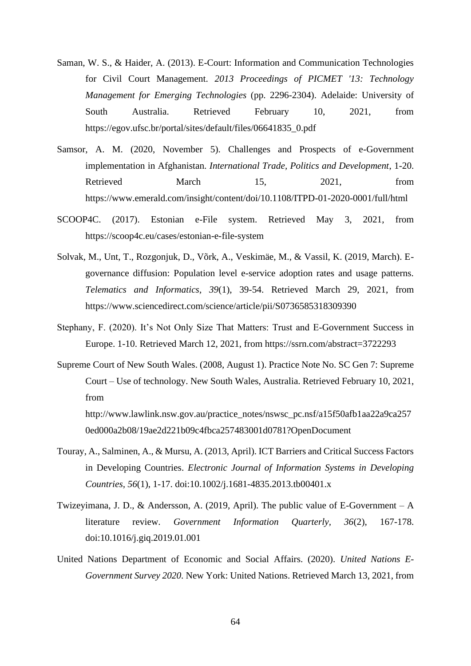- Saman, W. S., & Haider, A. (2013). E-Court: Information and Communication Technologies for Civil Court Management. *2013 Proceedings of PICMET '13: Technology Management for Emerging Technologies* (pp. 2296-2304). Adelaide: University of South Australia. Retrieved February 10, 2021, from https://egov.ufsc.br/portal/sites/default/files/06641835\_0.pdf
- Samsor, A. M. (2020, November 5). Challenges and Prospects of e-Government implementation in Afghanistan. *International Trade, Politics and Development*, 1-20. Retrieved March 15, 2021, from https://www.emerald.com/insight/content/doi/10.1108/ITPD-01-2020-0001/full/html
- SCOOP4C. (2017). Estonian e-File system. Retrieved May 3, 2021, from https://scoop4c.eu/cases/estonian-e-file-system
- Solvak, M., Unt, T., Rozgonjuk, D., Võrk, A., Veskimäe, M., & Vassil, K. (2019, March). Egovernance diffusion: Population level e-service adoption rates and usage patterns. *Telematics and Informatics, 39*(1), 39-54. Retrieved March 29, 2021, from https://www.sciencedirect.com/science/article/pii/S0736585318309390
- Stephany, F. (2020). It's Not Only Size That Matters: Trust and E-Government Success in Europe. 1-10. Retrieved March 12, 2021, from https://ssrn.com/abstract=3722293
- Supreme Court of New South Wales. (2008, August 1). Practice Note No. SC Gen 7: Supreme Court – Use of technology. New South Wales, Australia. Retrieved February 10, 2021, from http://www.lawlink.nsw.gov.au/practice\_notes/nswsc\_pc.nsf/a15f50afb1aa22a9ca257

0ed000a2b08/19ae2d221b09c4fbca257483001d0781?OpenDocument

- Touray, A., Salminen, A., & Mursu, A. (2013, April). ICT Barriers and Critical Success Factors in Developing Countries. *Electronic Journal of Information Systems in Developing Countries, 56*(1), 1-17. doi:10.1002/j.1681-4835.2013.tb00401.x
- Twizeyimana, J. D., & Andersson, A. (2019, April). The public value of E-Government A literature review. *Government Information Quarterly, 36*(2), 167-178. doi:10.1016/j.giq.2019.01.001
- United Nations Department of Economic and Social Affairs. (2020). *United Nations E-Government Survey 2020.* New York: United Nations. Retrieved March 13, 2021, from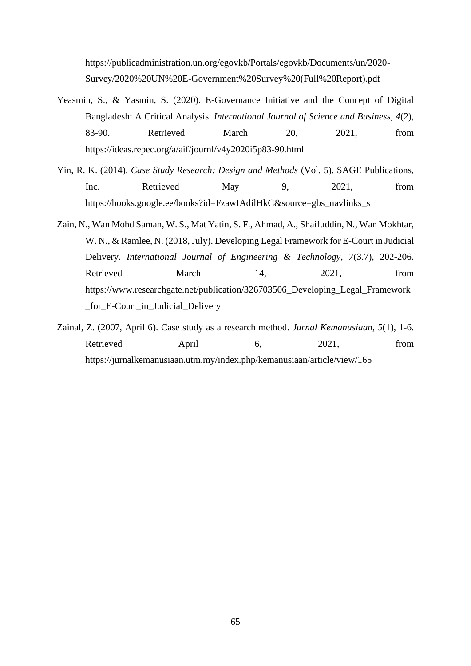https://publicadministration.un.org/egovkb/Portals/egovkb/Documents/un/2020- Survey/2020%20UN%20E-Government%20Survey%20(Full%20Report).pdf

- Yeasmin, S., & Yasmin, S. (2020). E-Governance Initiative and the Concept of Digital Bangladesh: A Critical Analysis. *International Journal of Science and Business, 4*(2), 83-90. Retrieved March 20, 2021, from https://ideas.repec.org/a/aif/journl/v4y2020i5p83-90.html
- Yin, R. K. (2014). *Case Study Research: Design and Methods* (Vol. 5). SAGE Publications, Inc. Retrieved May 9, 2021, from https://books.google.ee/books?id=FzawIAdilHkC&source=gbs\_navlinks\_s
- Zain, N., Wan Mohd Saman, W. S., Mat Yatin, S. F., Ahmad, A., Shaifuddin, N., Wan Mokhtar, W. N., & Ramlee, N. (2018, July). Developing Legal Framework for E-Court in Judicial Delivery. *International Journal of Engineering & Technology, 7*(3.7), 202-206. Retrieved March 14, 2021, from https://www.researchgate.net/publication/326703506\_Developing\_Legal\_Framework \_for\_E-Court\_in\_Judicial\_Delivery
- Zainal, Z. (2007, April 6). Case study as a research method. *Jurnal Kemanusiaan, 5*(1), 1-6. Retrieved April 6, 2021, from https://jurnalkemanusiaan.utm.my/index.php/kemanusiaan/article/view/165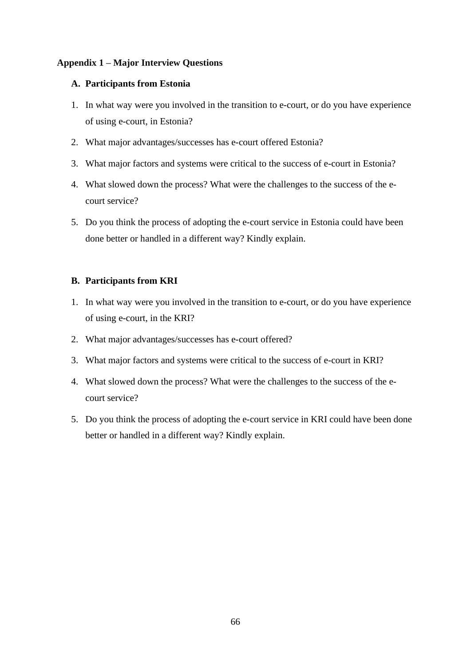## <span id="page-65-0"></span>**Appendix 1 – Major Interview Questions**

## **A. Participants from Estonia**

- 1. In what way were you involved in the transition to e-court, or do you have experience of using e-court, in Estonia?
- 2. What major advantages/successes has e-court offered Estonia?
- 3. What major factors and systems were critical to the success of e-court in Estonia?
- 4. What slowed down the process? What were the challenges to the success of the ecourt service?
- 5. Do you think the process of adopting the e-court service in Estonia could have been done better or handled in a different way? Kindly explain.

## **B. Participants from KRI**

- 1. In what way were you involved in the transition to e-court, or do you have experience of using e-court, in the KRI?
- 2. What major advantages/successes has e-court offered?
- 3. What major factors and systems were critical to the success of e-court in KRI?
- 4. What slowed down the process? What were the challenges to the success of the ecourt service?
- 5. Do you think the process of adopting the e-court service in KRI could have been done better or handled in a different way? Kindly explain.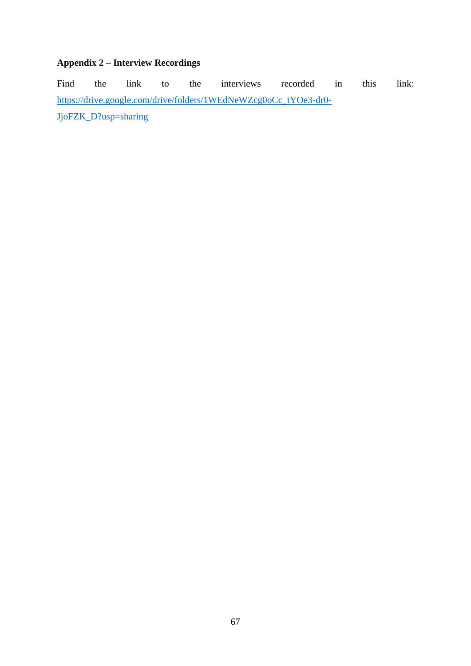## <span id="page-66-0"></span>**Appendix 2 – Interview Recordings**

Find the link to the interviews recorded in this link: [https://drive.google.com/drive/folders/1WEdNeWZcg0oCc\\_tYOe3-dr0-](https://drive.google.com/drive/folders/1WEdNeWZcg0oCc_tYOe3-dr0-JjoFZK_D?usp=sharing) [JjoFZK\\_D?usp=sharing](https://drive.google.com/drive/folders/1WEdNeWZcg0oCc_tYOe3-dr0-JjoFZK_D?usp=sharing)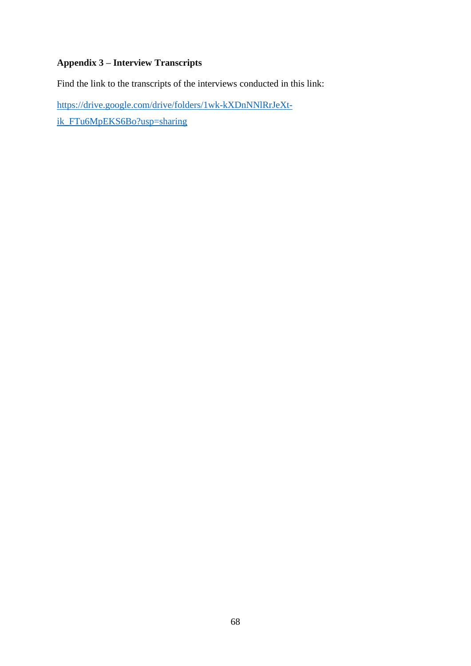## <span id="page-67-0"></span>**Appendix 3 – Interview Transcripts**

Find the link to the transcripts of the interviews conducted in this link:

[https://drive.google.com/drive/folders/1wk-kXDnNNlRrJeXt-](https://drive.google.com/drive/folders/1wk-kXDnNNlRrJeXt-ik_FTu6MpEKS6Bo?usp=sharing)

[ik\\_FTu6MpEKS6Bo?usp=sharing](https://drive.google.com/drive/folders/1wk-kXDnNNlRrJeXt-ik_FTu6MpEKS6Bo?usp=sharing)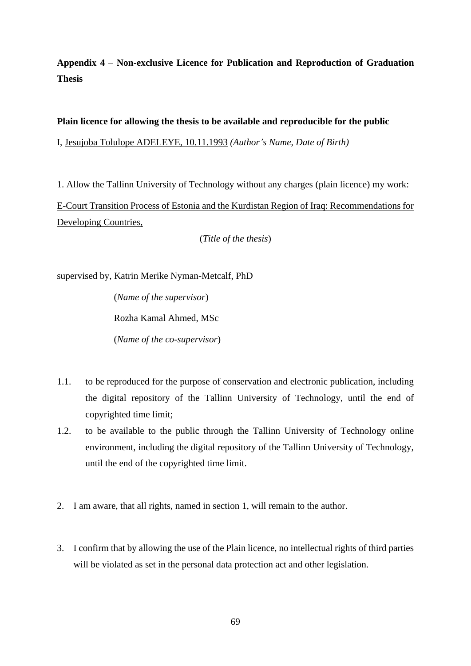<span id="page-68-0"></span>**Appendix 4** – **Non-exclusive Licence for Publication and Reproduction of Graduation Thesis**

## **Plain licence for allowing the thesis to be available and reproducible for the public**

I, Jesujoba Tolulope ADELEYE, 10.11.1993 *(Author's Name, Date of Birth)*

1. Allow the Tallinn University of Technology without any charges (plain licence) my work: E-Court Transition Process of Estonia and the Kurdistan Region of Iraq: Recommendations for Developing Countries,

(*Title of the thesis*)

supervised by, Katrin Merike Nyman-Metcalf, PhD

(*Name of the supervisor*) Rozha Kamal Ahmed, MSc (*Name of the co-supervisor*)

- 1.1. to be reproduced for the purpose of conservation and electronic publication, including the digital repository of the Tallinn University of Technology, until the end of copyrighted time limit;
- 1.2. to be available to the public through the Tallinn University of Technology online environment, including the digital repository of the Tallinn University of Technology, until the end of the copyrighted time limit.
- 2. I am aware, that all rights, named in section 1, will remain to the author.
- 3. I confirm that by allowing the use of the Plain licence, no intellectual rights of third parties will be violated as set in the personal data protection act and other legislation.